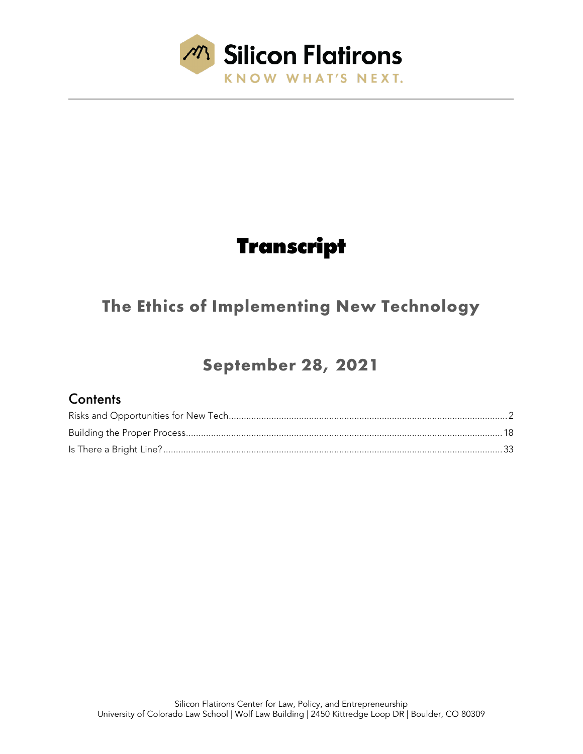

# **Transcript**

### **The Ethics of Implementing New Technology**

## **September 28, 2021**

### **Contents**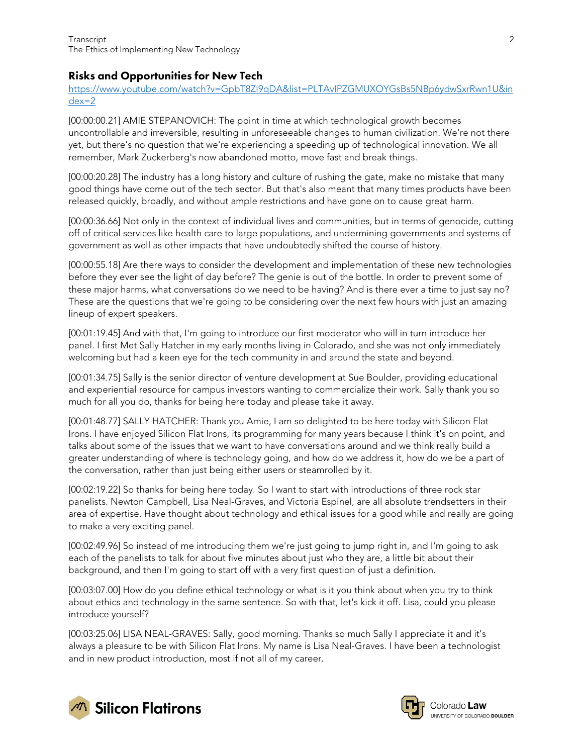#### <span id="page-1-0"></span>Risks and Opportunities for New Tech

[https://www.youtube.com/watch?v=GpbT8ZI9qDA&list=PLTAvIPZGMUXOYGsBs5NBp6ydwSxrRwn1U&in](https://www.youtube.com/watch?v=GpbT8ZI9qDA&list=PLTAvIPZGMUXOYGsBs5NBp6ydwSxrRwn1U&index=2) [dex=2](https://www.youtube.com/watch?v=GpbT8ZI9qDA&list=PLTAvIPZGMUXOYGsBs5NBp6ydwSxrRwn1U&index=2)

[00:00:00.21] AMIE STEPANOVICH: The point in time at which technological growth becomes uncontrollable and irreversible, resulting in unforeseeable changes to human civilization. We're not there yet, but there's no question that we're experiencing a speeding up of technological innovation. We all remember, Mark Zuckerberg's now abandoned motto, move fast and break things.

[00:00:20.28] The industry has a long history and culture of rushing the gate, make no mistake that many good things have come out of the tech sector. But that's also meant that many times products have been released quickly, broadly, and without ample restrictions and have gone on to cause great harm.

[00:00:36.66] Not only in the context of individual lives and communities, but in terms of genocide, cutting off of critical services like health care to large populations, and undermining governments and systems of government as well as other impacts that have undoubtedly shifted the course of history.

[00:00:55.18] Are there ways to consider the development and implementation of these new technologies before they ever see the light of day before? The genie is out of the bottle. In order to prevent some of these major harms, what conversations do we need to be having? And is there ever a time to just say no? These are the questions that we're going to be considering over the next few hours with just an amazing lineup of expert speakers.

[00:01:19.45] And with that, I'm going to introduce our first moderator who will in turn introduce her panel. I first Met Sally Hatcher in my early months living in Colorado, and she was not only immediately welcoming but had a keen eye for the tech community in and around the state and beyond.

[00:01:34.75] Sally is the senior director of venture development at Sue Boulder, providing educational and experiential resource for campus investors wanting to commercialize their work. Sally thank you so much for all you do, thanks for being here today and please take it away.

[00:01:48.77] SALLY HATCHER: Thank you Amie, I am so delighted to be here today with Silicon Flat Irons. I have enjoyed Silicon Flat Irons, its programming for many years because I think it's on point, and talks about some of the issues that we want to have conversations around and we think really build a greater understanding of where is technology going, and how do we address it, how do we be a part of the conversation, rather than just being either users or steamrolled by it.

[00:02:19.22] So thanks for being here today. So I want to start with introductions of three rock star panelists. Newton Campbell, Lisa Neal-Graves, and Victoria Espinel, are all absolute trendsetters in their area of expertise. Have thought about technology and ethical issues for a good while and really are going to make a very exciting panel.

[00:02:49.96] So instead of me introducing them we're just going to jump right in, and I'm going to ask each of the panelists to talk for about five minutes about just who they are, a little bit about their background, and then I'm going to start off with a very first question of just a definition.

[00:03:07.00] How do you define ethical technology or what is it you think about when you try to think about ethics and technology in the same sentence. So with that, let's kick it off. Lisa, could you please introduce yourself?

[00:03:25.06] LISA NEAL-GRAVES: Sally, good morning. Thanks so much Sally I appreciate it and it's always a pleasure to be with Silicon Flat Irons. My name is Lisa Neal-Graves. I have been a technologist and in new product introduction, most if not all of my career.



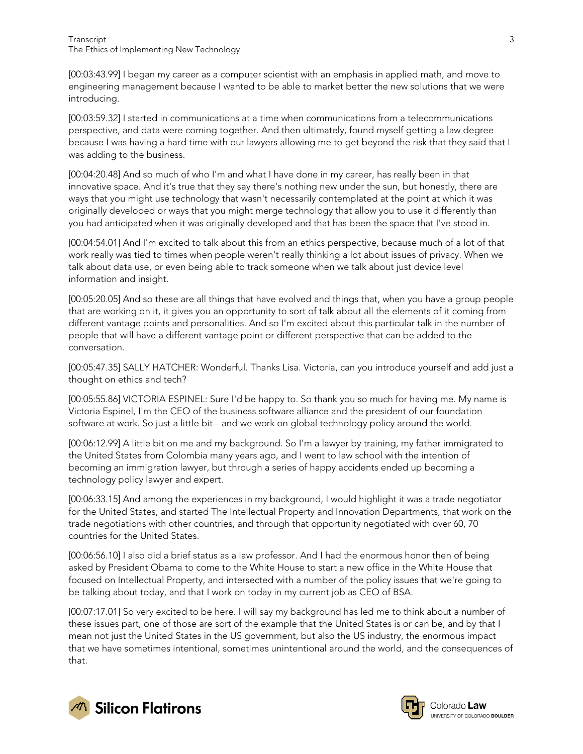[00:03:43.99] I began my career as a computer scientist with an emphasis in applied math, and move to engineering management because I wanted to be able to market better the new solutions that we were introducing.

[00:03:59.32] I started in communications at a time when communications from a telecommunications perspective, and data were coming together. And then ultimately, found myself getting a law degree because I was having a hard time with our lawyers allowing me to get beyond the risk that they said that I was adding to the business.

[00:04:20.48] And so much of who I'm and what I have done in my career, has really been in that innovative space. And it's true that they say there's nothing new under the sun, but honestly, there are ways that you might use technology that wasn't necessarily contemplated at the point at which it was originally developed or ways that you might merge technology that allow you to use it differently than you had anticipated when it was originally developed and that has been the space that I've stood in.

[00:04:54.01] And I'm excited to talk about this from an ethics perspective, because much of a lot of that work really was tied to times when people weren't really thinking a lot about issues of privacy. When we talk about data use, or even being able to track someone when we talk about just device level information and insight.

[00:05:20.05] And so these are all things that have evolved and things that, when you have a group people that are working on it, it gives you an opportunity to sort of talk about all the elements of it coming from different vantage points and personalities. And so I'm excited about this particular talk in the number of people that will have a different vantage point or different perspective that can be added to the conversation.

[00:05:47.35] SALLY HATCHER: Wonderful. Thanks Lisa. Victoria, can you introduce yourself and add just a thought on ethics and tech?

[00:05:55.86] VICTORIA ESPINEL: Sure I'd be happy to. So thank you so much for having me. My name is Victoria Espinel, I'm the CEO of the business software alliance and the president of our foundation software at work. So just a little bit-- and we work on global technology policy around the world.

[00:06:12.99] A little bit on me and my background. So I'm a lawyer by training, my father immigrated to the United States from Colombia many years ago, and I went to law school with the intention of becoming an immigration lawyer, but through a series of happy accidents ended up becoming a technology policy lawyer and expert.

[00:06:33.15] And among the experiences in my background, I would highlight it was a trade negotiator for the United States, and started The Intellectual Property and Innovation Departments, that work on the trade negotiations with other countries, and through that opportunity negotiated with over 60, 70 countries for the United States.

[00:06:56.10] I also did a brief status as a law professor. And I had the enormous honor then of being asked by President Obama to come to the White House to start a new office in the White House that focused on Intellectual Property, and intersected with a number of the policy issues that we're going to be talking about today, and that I work on today in my current job as CEO of BSA.

[00:07:17.01] So very excited to be here. I will say my background has led me to think about a number of these issues part, one of those are sort of the example that the United States is or can be, and by that I mean not just the United States in the US government, but also the US industry, the enormous impact that we have sometimes intentional, sometimes unintentional around the world, and the consequences of that.



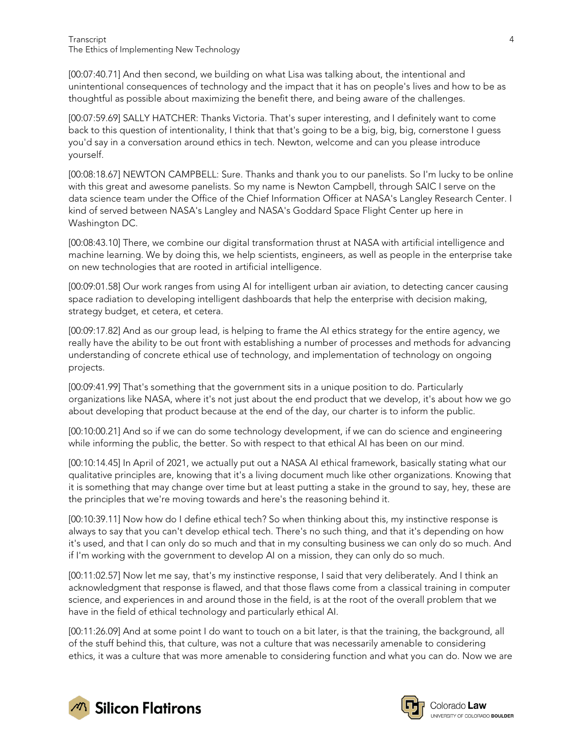[00:07:40.71] And then second, we building on what Lisa was talking about, the intentional and unintentional consequences of technology and the impact that it has on people's lives and how to be as thoughtful as possible about maximizing the benefit there, and being aware of the challenges.

[00:07:59.69] SALLY HATCHER: Thanks Victoria. That's super interesting, and I definitely want to come back to this question of intentionality, I think that that's going to be a big, big, big, cornerstone I guess you'd say in a conversation around ethics in tech. Newton, welcome and can you please introduce yourself.

[00:08:18.67] NEWTON CAMPBELL: Sure. Thanks and thank you to our panelists. So I'm lucky to be online with this great and awesome panelists. So my name is Newton Campbell, through SAIC I serve on the data science team under the Office of the Chief Information Officer at NASA's Langley Research Center. I kind of served between NASA's Langley and NASA's Goddard Space Flight Center up here in Washington DC.

[00:08:43.10] There, we combine our digital transformation thrust at NASA with artificial intelligence and machine learning. We by doing this, we help scientists, engineers, as well as people in the enterprise take on new technologies that are rooted in artificial intelligence.

[00:09:01.58] Our work ranges from using AI for intelligent urban air aviation, to detecting cancer causing space radiation to developing intelligent dashboards that help the enterprise with decision making, strategy budget, et cetera, et cetera.

[00:09:17.82] And as our group lead, is helping to frame the AI ethics strategy for the entire agency, we really have the ability to be out front with establishing a number of processes and methods for advancing understanding of concrete ethical use of technology, and implementation of technology on ongoing projects.

[00:09:41.99] That's something that the government sits in a unique position to do. Particularly organizations like NASA, where it's not just about the end product that we develop, it's about how we go about developing that product because at the end of the day, our charter is to inform the public.

[00:10:00.21] And so if we can do some technology development, if we can do science and engineering while informing the public, the better. So with respect to that ethical AI has been on our mind.

[00:10:14.45] In April of 2021, we actually put out a NASA AI ethical framework, basically stating what our qualitative principles are, knowing that it's a living document much like other organizations. Knowing that it is something that may change over time but at least putting a stake in the ground to say, hey, these are the principles that we're moving towards and here's the reasoning behind it.

[00:10:39.11] Now how do I define ethical tech? So when thinking about this, my instinctive response is always to say that you can't develop ethical tech. There's no such thing, and that it's depending on how it's used, and that I can only do so much and that in my consulting business we can only do so much. And if I'm working with the government to develop AI on a mission, they can only do so much.

[00:11:02.57] Now let me say, that's my instinctive response, I said that very deliberately. And I think an acknowledgment that response is flawed, and that those flaws come from a classical training in computer science, and experiences in and around those in the field, is at the root of the overall problem that we have in the field of ethical technology and particularly ethical AI.

[00:11:26.09] And at some point I do want to touch on a bit later, is that the training, the background, all of the stuff behind this, that culture, was not a culture that was necessarily amenable to considering ethics, it was a culture that was more amenable to considering function and what you can do. Now we are



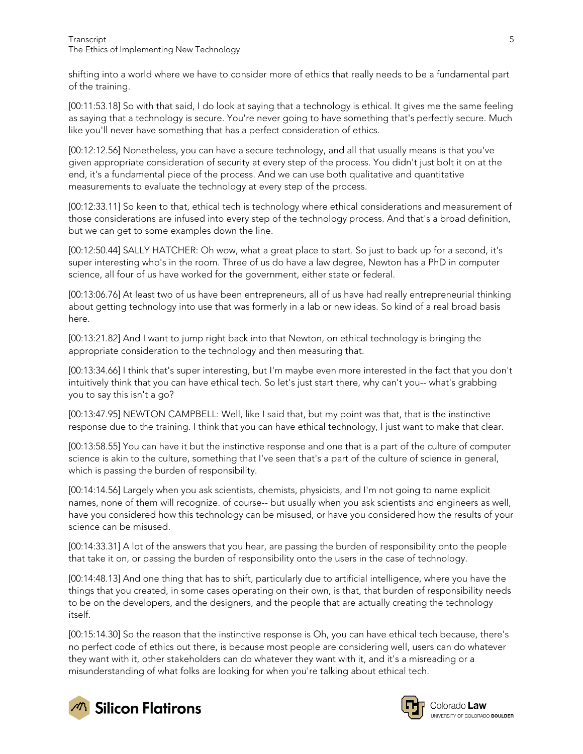shifting into a world where we have to consider more of ethics that really needs to be a fundamental part of the training.

[00:11:53.18] So with that said, I do look at saying that a technology is ethical. It gives me the same feeling as saying that a technology is secure. You're never going to have something that's perfectly secure. Much like you'll never have something that has a perfect consideration of ethics.

[00:12:12.56] Nonetheless, you can have a secure technology, and all that usually means is that you've given appropriate consideration of security at every step of the process. You didn't just bolt it on at the end, it's a fundamental piece of the process. And we can use both qualitative and quantitative measurements to evaluate the technology at every step of the process.

[00:12:33.11] So keen to that, ethical tech is technology where ethical considerations and measurement of those considerations are infused into every step of the technology process. And that's a broad definition, but we can get to some examples down the line.

[00:12:50.44] SALLY HATCHER: Oh wow, what a great place to start. So just to back up for a second, it's super interesting who's in the room. Three of us do have a law degree, Newton has a PhD in computer science, all four of us have worked for the government, either state or federal.

[00:13:06.76] At least two of us have been entrepreneurs, all of us have had really entrepreneurial thinking about getting technology into use that was formerly in a lab or new ideas. So kind of a real broad basis here.

[00:13:21.82] And I want to jump right back into that Newton, on ethical technology is bringing the appropriate consideration to the technology and then measuring that.

[00:13:34.66] I think that's super interesting, but I'm maybe even more interested in the fact that you don't intuitively think that you can have ethical tech. So let's just start there, why can't you-- what's grabbing you to say this isn't a go?

[00:13:47.95] NEWTON CAMPBELL: Well, like I said that, but my point was that, that is the instinctive response due to the training. I think that you can have ethical technology, I just want to make that clear.

[00:13:58.55] You can have it but the instinctive response and one that is a part of the culture of computer science is akin to the culture, something that I've seen that's a part of the culture of science in general, which is passing the burden of responsibility.

[00:14:14.56] Largely when you ask scientists, chemists, physicists, and I'm not going to name explicit names, none of them will recognize. of course-- but usually when you ask scientists and engineers as well, have you considered how this technology can be misused, or have you considered how the results of your science can be misused.

[00:14:33.31] A lot of the answers that you hear, are passing the burden of responsibility onto the people that take it on, or passing the burden of responsibility onto the users in the case of technology.

[00:14:48.13] And one thing that has to shift, particularly due to artificial intelligence, where you have the things that you created, in some cases operating on their own, is that, that burden of responsibility needs to be on the developers, and the designers, and the people that are actually creating the technology itself.

[00:15:14.30] So the reason that the instinctive response is Oh, you can have ethical tech because, there's no perfect code of ethics out there, is because most people are considering well, users can do whatever they want with it, other stakeholders can do whatever they want with it, and it's a misreading or a misunderstanding of what folks are looking for when you're talking about ethical tech.





Colorado Law UNIVERSITY OF COLORADO BOULDER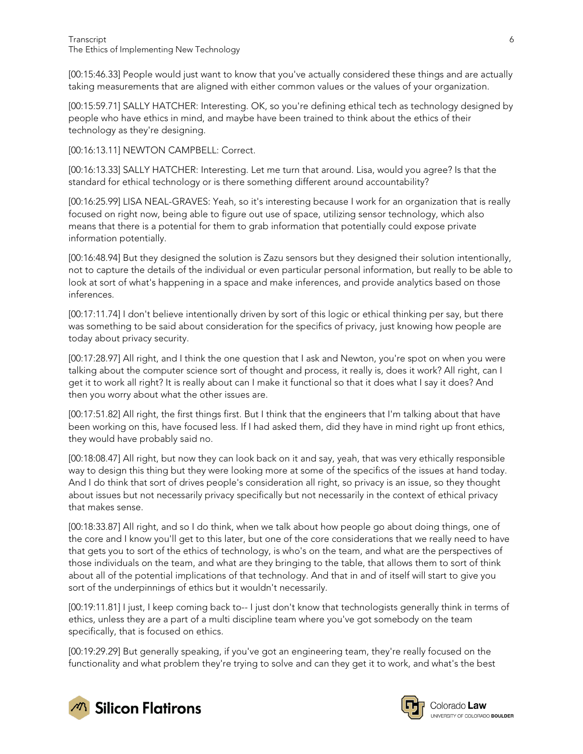[00:15:46.33] People would just want to know that you've actually considered these things and are actually taking measurements that are aligned with either common values or the values of your organization.

[00:15:59.71] SALLY HATCHER: Interesting. OK, so you're defining ethical tech as technology designed by people who have ethics in mind, and maybe have been trained to think about the ethics of their technology as they're designing.

[00:16:13.11] NEWTON CAMPBELL: Correct.

[00:16:13.33] SALLY HATCHER: Interesting. Let me turn that around. Lisa, would you agree? Is that the standard for ethical technology or is there something different around accountability?

[00:16:25.99] LISA NEAL-GRAVES: Yeah, so it's interesting because I work for an organization that is really focused on right now, being able to figure out use of space, utilizing sensor technology, which also means that there is a potential for them to grab information that potentially could expose private information potentially.

[00:16:48.94] But they designed the solution is Zazu sensors but they designed their solution intentionally, not to capture the details of the individual or even particular personal information, but really to be able to look at sort of what's happening in a space and make inferences, and provide analytics based on those inferences.

[00:17:11.74] I don't believe intentionally driven by sort of this logic or ethical thinking per say, but there was something to be said about consideration for the specifics of privacy, just knowing how people are today about privacy security.

[00:17:28.97] All right, and I think the one question that I ask and Newton, you're spot on when you were talking about the computer science sort of thought and process, it really is, does it work? All right, can I get it to work all right? It is really about can I make it functional so that it does what I say it does? And then you worry about what the other issues are.

[00:17:51.82] All right, the first things first. But I think that the engineers that I'm talking about that have been working on this, have focused less. If I had asked them, did they have in mind right up front ethics, they would have probably said no.

[00:18:08.47] All right, but now they can look back on it and say, yeah, that was very ethically responsible way to design this thing but they were looking more at some of the specifics of the issues at hand today. And I do think that sort of drives people's consideration all right, so privacy is an issue, so they thought about issues but not necessarily privacy specifically but not necessarily in the context of ethical privacy that makes sense.

[00:18:33.87] All right, and so I do think, when we talk about how people go about doing things, one of the core and I know you'll get to this later, but one of the core considerations that we really need to have that gets you to sort of the ethics of technology, is who's on the team, and what are the perspectives of those individuals on the team, and what are they bringing to the table, that allows them to sort of think about all of the potential implications of that technology. And that in and of itself will start to give you sort of the underpinnings of ethics but it wouldn't necessarily.

[00:19:11.81] I just, I keep coming back to-- I just don't know that technologists generally think in terms of ethics, unless they are a part of a multi discipline team where you've got somebody on the team specifically, that is focused on ethics.

[00:19:29.29] But generally speaking, if you've got an engineering team, they're really focused on the functionality and what problem they're trying to solve and can they get it to work, and what's the best



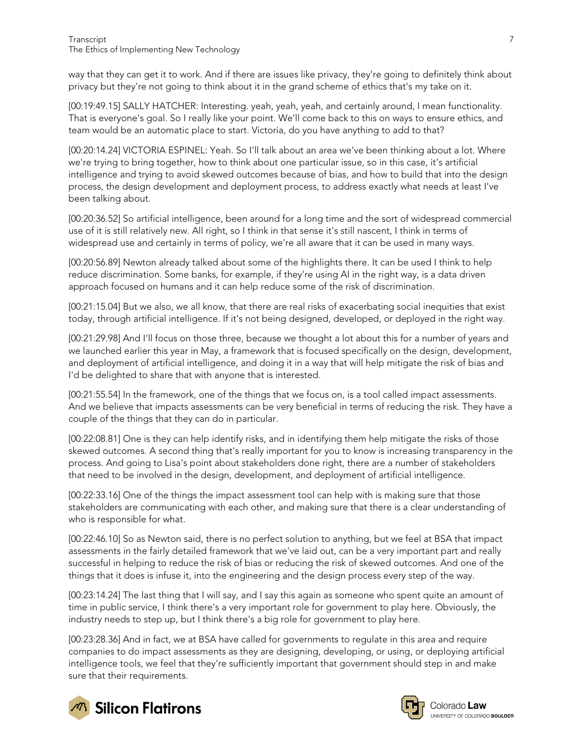way that they can get it to work. And if there are issues like privacy, they're going to definitely think about privacy but they're not going to think about it in the grand scheme of ethics that's my take on it.

[00:19:49.15] SALLY HATCHER: Interesting. yeah, yeah, yeah, and certainly around, I mean functionality. That is everyone's goal. So I really like your point. We'll come back to this on ways to ensure ethics, and team would be an automatic place to start. Victoria, do you have anything to add to that?

[00:20:14.24] VICTORIA ESPINEL: Yeah. So I'll talk about an area we've been thinking about a lot. Where we're trying to bring together, how to think about one particular issue, so in this case, it's artificial intelligence and trying to avoid skewed outcomes because of bias, and how to build that into the design process, the design development and deployment process, to address exactly what needs at least I've been talking about.

[00:20:36.52] So artificial intelligence, been around for a long time and the sort of widespread commercial use of it is still relatively new. All right, so I think in that sense it's still nascent, I think in terms of widespread use and certainly in terms of policy, we're all aware that it can be used in many ways.

[00:20:56.89] Newton already talked about some of the highlights there. It can be used I think to help reduce discrimination. Some banks, for example, if they're using AI in the right way, is a data driven approach focused on humans and it can help reduce some of the risk of discrimination.

[00:21:15.04] But we also, we all know, that there are real risks of exacerbating social inequities that exist today, through artificial intelligence. If it's not being designed, developed, or deployed in the right way.

[00:21:29.98] And I'll focus on those three, because we thought a lot about this for a number of years and we launched earlier this year in May, a framework that is focused specifically on the design, development, and deployment of artificial intelligence, and doing it in a way that will help mitigate the risk of bias and I'd be delighted to share that with anyone that is interested.

[00:21:55.54] In the framework, one of the things that we focus on, is a tool called impact assessments. And we believe that impacts assessments can be very beneficial in terms of reducing the risk. They have a couple of the things that they can do in particular.

[00:22:08.81] One is they can help identify risks, and in identifying them help mitigate the risks of those skewed outcomes. A second thing that's really important for you to know is increasing transparency in the process. And going to Lisa's point about stakeholders done right, there are a number of stakeholders that need to be involved in the design, development, and deployment of artificial intelligence.

[00:22:33.16] One of the things the impact assessment tool can help with is making sure that those stakeholders are communicating with each other, and making sure that there is a clear understanding of who is responsible for what.

[00:22:46.10] So as Newton said, there is no perfect solution to anything, but we feel at BSA that impact assessments in the fairly detailed framework that we've laid out, can be a very important part and really successful in helping to reduce the risk of bias or reducing the risk of skewed outcomes. And one of the things that it does is infuse it, into the engineering and the design process every step of the way.

[00:23:14.24] The last thing that I will say, and I say this again as someone who spent quite an amount of time in public service, I think there's a very important role for government to play here. Obviously, the industry needs to step up, but I think there's a big role for government to play here.

[00:23:28.36] And in fact, we at BSA have called for governments to regulate in this area and require companies to do impact assessments as they are designing, developing, or using, or deploying artificial intelligence tools, we feel that they're sufficiently important that government should step in and make sure that their requirements.





Colorado Law UNIVERSITY OF COLORADO BOULDER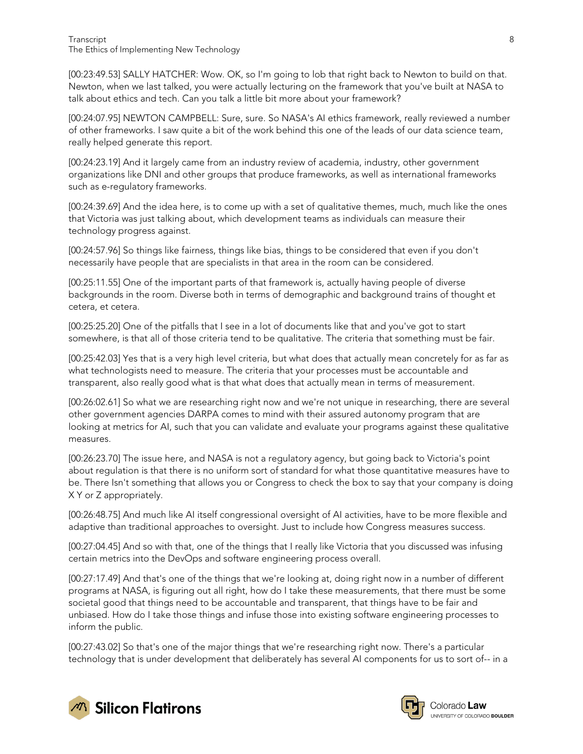[00:23:49.53] SALLY HATCHER: Wow. OK, so I'm going to lob that right back to Newton to build on that. Newton, when we last talked, you were actually lecturing on the framework that you've built at NASA to talk about ethics and tech. Can you talk a little bit more about your framework?

[00:24:07.95] NEWTON CAMPBELL: Sure, sure. So NASA's AI ethics framework, really reviewed a number of other frameworks. I saw quite a bit of the work behind this one of the leads of our data science team, really helped generate this report.

[00:24:23.19] And it largely came from an industry review of academia, industry, other government organizations like DNI and other groups that produce frameworks, as well as international frameworks such as e-regulatory frameworks.

[00:24:39.69] And the idea here, is to come up with a set of qualitative themes, much, much like the ones that Victoria was just talking about, which development teams as individuals can measure their technology progress against.

[00:24:57.96] So things like fairness, things like bias, things to be considered that even if you don't necessarily have people that are specialists in that area in the room can be considered.

[00:25:11.55] One of the important parts of that framework is, actually having people of diverse backgrounds in the room. Diverse both in terms of demographic and background trains of thought et cetera, et cetera.

[00:25:25.20] One of the pitfalls that I see in a lot of documents like that and you've got to start somewhere, is that all of those criteria tend to be qualitative. The criteria that something must be fair.

[00:25:42.03] Yes that is a very high level criteria, but what does that actually mean concretely for as far as what technologists need to measure. The criteria that your processes must be accountable and transparent, also really good what is that what does that actually mean in terms of measurement.

[00:26:02.61] So what we are researching right now and we're not unique in researching, there are several other government agencies DARPA comes to mind with their assured autonomy program that are looking at metrics for AI, such that you can validate and evaluate your programs against these qualitative measures.

[00:26:23.70] The issue here, and NASA is not a regulatory agency, but going back to Victoria's point about regulation is that there is no uniform sort of standard for what those quantitative measures have to be. There Isn't something that allows you or Congress to check the box to say that your company is doing X Y or Z appropriately.

[00:26:48.75] And much like AI itself congressional oversight of AI activities, have to be more flexible and adaptive than traditional approaches to oversight. Just to include how Congress measures success.

[00:27:04.45] And so with that, one of the things that I really like Victoria that you discussed was infusing certain metrics into the DevOps and software engineering process overall.

[00:27:17.49] And that's one of the things that we're looking at, doing right now in a number of different programs at NASA, is figuring out all right, how do I take these measurements, that there must be some societal good that things need to be accountable and transparent, that things have to be fair and unbiased. How do I take those things and infuse those into existing software engineering processes to inform the public.

[00:27:43.02] So that's one of the major things that we're researching right now. There's a particular technology that is under development that deliberately has several AI components for us to sort of-- in a



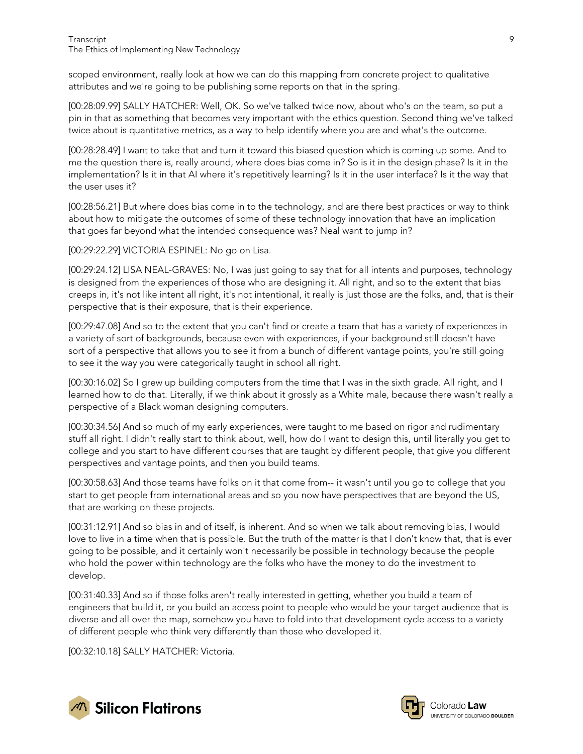scoped environment, really look at how we can do this mapping from concrete project to qualitative attributes and we're going to be publishing some reports on that in the spring.

[00:28:09.99] SALLY HATCHER: Well, OK. So we've talked twice now, about who's on the team, so put a pin in that as something that becomes very important with the ethics question. Second thing we've talked twice about is quantitative metrics, as a way to help identify where you are and what's the outcome.

[00:28:28.49] I want to take that and turn it toward this biased question which is coming up some. And to me the question there is, really around, where does bias come in? So is it in the design phase? Is it in the implementation? Is it in that AI where it's repetitively learning? Is it in the user interface? Is it the way that the user uses it?

[00:28:56.21] But where does bias come in to the technology, and are there best practices or way to think about how to mitigate the outcomes of some of these technology innovation that have an implication that goes far beyond what the intended consequence was? Neal want to jump in?

[00:29:22.29] VICTORIA ESPINEL: No go on Lisa.

[00:29:24.12] LISA NEAL-GRAVES: No, I was just going to say that for all intents and purposes, technology is designed from the experiences of those who are designing it. All right, and so to the extent that bias creeps in, it's not like intent all right, it's not intentional, it really is just those are the folks, and, that is their perspective that is their exposure, that is their experience.

[00:29:47.08] And so to the extent that you can't find or create a team that has a variety of experiences in a variety of sort of backgrounds, because even with experiences, if your background still doesn't have sort of a perspective that allows you to see it from a bunch of different vantage points, you're still going to see it the way you were categorically taught in school all right.

[00:30:16.02] So I grew up building computers from the time that I was in the sixth grade. All right, and I learned how to do that. Literally, if we think about it grossly as a White male, because there wasn't really a perspective of a Black woman designing computers.

[00:30:34.56] And so much of my early experiences, were taught to me based on rigor and rudimentary stuff all right. I didn't really start to think about, well, how do I want to design this, until literally you get to college and you start to have different courses that are taught by different people, that give you different perspectives and vantage points, and then you build teams.

[00:30:58.63] And those teams have folks on it that come from-- it wasn't until you go to college that you start to get people from international areas and so you now have perspectives that are beyond the US, that are working on these projects.

[00:31:12.91] And so bias in and of itself, is inherent. And so when we talk about removing bias, I would love to live in a time when that is possible. But the truth of the matter is that I don't know that, that is ever going to be possible, and it certainly won't necessarily be possible in technology because the people who hold the power within technology are the folks who have the money to do the investment to develop.

[00:31:40.33] And so if those folks aren't really interested in getting, whether you build a team of engineers that build it, or you build an access point to people who would be your target audience that is diverse and all over the map, somehow you have to fold into that development cycle access to a variety of different people who think very differently than those who developed it.

[00:32:10.18] SALLY HATCHER: Victoria.



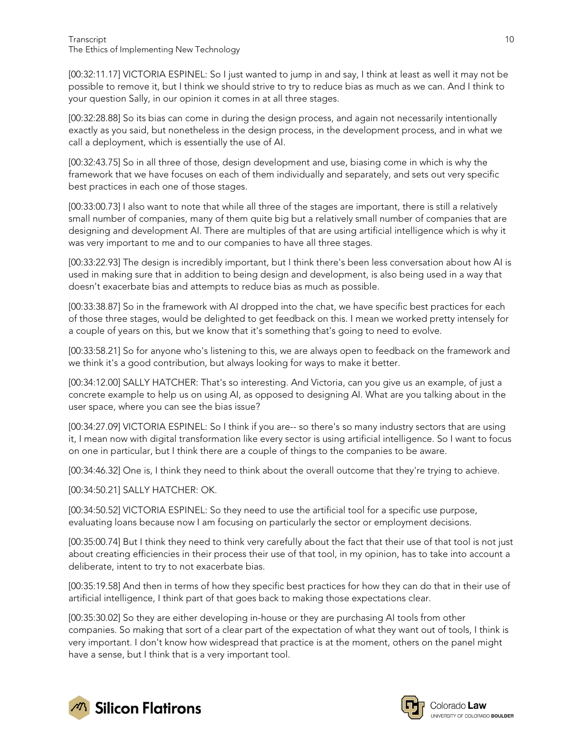[00:32:11.17] VICTORIA ESPINEL: So I just wanted to jump in and say, I think at least as well it may not be possible to remove it, but I think we should strive to try to reduce bias as much as we can. And I think to your question Sally, in our opinion it comes in at all three stages.

[00:32:28.88] So its bias can come in during the design process, and again not necessarily intentionally exactly as you said, but nonetheless in the design process, in the development process, and in what we call a deployment, which is essentially the use of AI.

[00:32:43.75] So in all three of those, design development and use, biasing come in which is why the framework that we have focuses on each of them individually and separately, and sets out very specific best practices in each one of those stages.

[00:33:00.73] I also want to note that while all three of the stages are important, there is still a relatively small number of companies, many of them quite big but a relatively small number of companies that are designing and development AI. There are multiples of that are using artificial intelligence which is why it was very important to me and to our companies to have all three stages.

[00:33:22.93] The design is incredibly important, but I think there's been less conversation about how AI is used in making sure that in addition to being design and development, is also being used in a way that doesn't exacerbate bias and attempts to reduce bias as much as possible.

[00:33:38.87] So in the framework with AI dropped into the chat, we have specific best practices for each of those three stages, would be delighted to get feedback on this. I mean we worked pretty intensely for a couple of years on this, but we know that it's something that's going to need to evolve.

[00:33:58.21] So for anyone who's listening to this, we are always open to feedback on the framework and we think it's a good contribution, but always looking for ways to make it better.

[00:34:12.00] SALLY HATCHER: That's so interesting. And Victoria, can you give us an example, of just a concrete example to help us on using AI, as opposed to designing AI. What are you talking about in the user space, where you can see the bias issue?

[00:34:27.09] VICTORIA ESPINEL: So I think if you are-- so there's so many industry sectors that are using it, I mean now with digital transformation like every sector is using artificial intelligence. So I want to focus on one in particular, but I think there are a couple of things to the companies to be aware.

[00:34:46.32] One is, I think they need to think about the overall outcome that they're trying to achieve.

[00:34:50.21] SALLY HATCHER: OK.

[00:34:50.52] VICTORIA ESPINEL: So they need to use the artificial tool for a specific use purpose, evaluating loans because now I am focusing on particularly the sector or employment decisions.

[00:35:00.74] But I think they need to think very carefully about the fact that their use of that tool is not just about creating efficiencies in their process their use of that tool, in my opinion, has to take into account a deliberate, intent to try to not exacerbate bias.

[00:35:19.58] And then in terms of how they specific best practices for how they can do that in their use of artificial intelligence, I think part of that goes back to making those expectations clear.

[00:35:30.02] So they are either developing in-house or they are purchasing AI tools from other companies. So making that sort of a clear part of the expectation of what they want out of tools, I think is very important. I don't know how widespread that practice is at the moment, others on the panel might have a sense, but I think that is a very important tool.



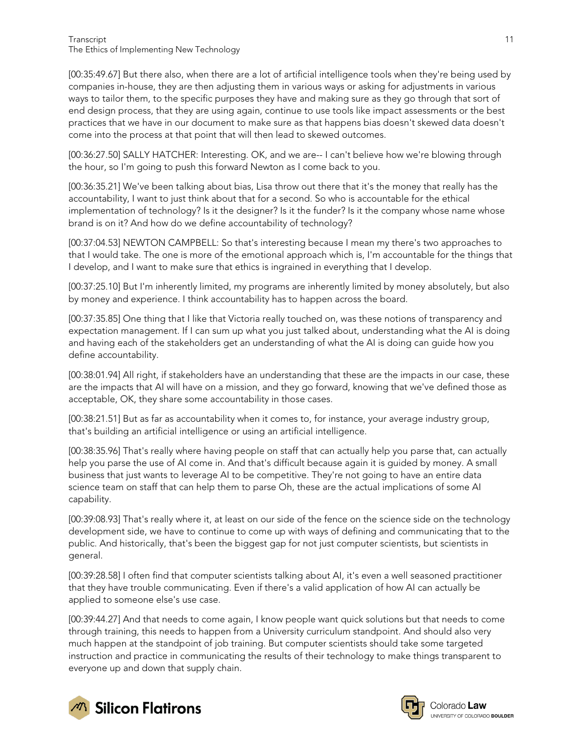[00:35:49.67] But there also, when there are a lot of artificial intelligence tools when they're being used by companies in-house, they are then adjusting them in various ways or asking for adjustments in various ways to tailor them, to the specific purposes they have and making sure as they go through that sort of end design process, that they are using again, continue to use tools like impact assessments or the best practices that we have in our document to make sure as that happens bias doesn't skewed data doesn't come into the process at that point that will then lead to skewed outcomes.

[00:36:27.50] SALLY HATCHER: Interesting. OK, and we are-- I can't believe how we're blowing through the hour, so I'm going to push this forward Newton as I come back to you.

[00:36:35.21] We've been talking about bias, Lisa throw out there that it's the money that really has the accountability, I want to just think about that for a second. So who is accountable for the ethical implementation of technology? Is it the designer? Is it the funder? Is it the company whose name whose brand is on it? And how do we define accountability of technology?

[00:37:04.53] NEWTON CAMPBELL: So that's interesting because I mean my there's two approaches to that I would take. The one is more of the emotional approach which is, I'm accountable for the things that I develop, and I want to make sure that ethics is ingrained in everything that I develop.

[00:37:25.10] But I'm inherently limited, my programs are inherently limited by money absolutely, but also by money and experience. I think accountability has to happen across the board.

[00:37:35.85] One thing that I like that Victoria really touched on, was these notions of transparency and expectation management. If I can sum up what you just talked about, understanding what the AI is doing and having each of the stakeholders get an understanding of what the AI is doing can guide how you define accountability.

[00:38:01.94] All right, if stakeholders have an understanding that these are the impacts in our case, these are the impacts that AI will have on a mission, and they go forward, knowing that we've defined those as acceptable, OK, they share some accountability in those cases.

[00:38:21.51] But as far as accountability when it comes to, for instance, your average industry group, that's building an artificial intelligence or using an artificial intelligence.

[00:38:35.96] That's really where having people on staff that can actually help you parse that, can actually help you parse the use of AI come in. And that's difficult because again it is guided by money. A small business that just wants to leverage AI to be competitive. They're not going to have an entire data science team on staff that can help them to parse Oh, these are the actual implications of some AI capability.

[00:39:08.93] That's really where it, at least on our side of the fence on the science side on the technology development side, we have to continue to come up with ways of defining and communicating that to the public. And historically, that's been the biggest gap for not just computer scientists, but scientists in general.

[00:39:28.58] I often find that computer scientists talking about AI, it's even a well seasoned practitioner that they have trouble communicating. Even if there's a valid application of how AI can actually be applied to someone else's use case.

[00:39:44.27] And that needs to come again, I know people want quick solutions but that needs to come through training, this needs to happen from a University curriculum standpoint. And should also very much happen at the standpoint of job training. But computer scientists should take some targeted instruction and practice in communicating the results of their technology to make things transparent to everyone up and down that supply chain.



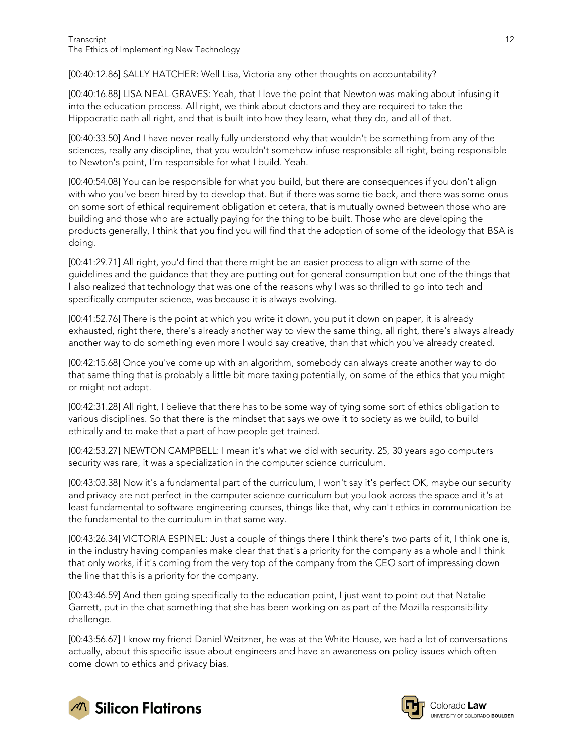[00:40:12.86] SALLY HATCHER: Well Lisa, Victoria any other thoughts on accountability?

[00:40:16.88] LISA NEAL-GRAVES: Yeah, that I love the point that Newton was making about infusing it into the education process. All right, we think about doctors and they are required to take the Hippocratic oath all right, and that is built into how they learn, what they do, and all of that.

[00:40:33.50] And I have never really fully understood why that wouldn't be something from any of the sciences, really any discipline, that you wouldn't somehow infuse responsible all right, being responsible to Newton's point, I'm responsible for what I build. Yeah.

[00:40:54.08] You can be responsible for what you build, but there are consequences if you don't align with who you've been hired by to develop that. But if there was some tie back, and there was some onus on some sort of ethical requirement obligation et cetera, that is mutually owned between those who are building and those who are actually paying for the thing to be built. Those who are developing the products generally, I think that you find you will find that the adoption of some of the ideology that BSA is doing.

[00:41:29.71] All right, you'd find that there might be an easier process to align with some of the guidelines and the guidance that they are putting out for general consumption but one of the things that I also realized that technology that was one of the reasons why I was so thrilled to go into tech and specifically computer science, was because it is always evolving.

[00:41:52.76] There is the point at which you write it down, you put it down on paper, it is already exhausted, right there, there's already another way to view the same thing, all right, there's always already another way to do something even more I would say creative, than that which you've already created.

[00:42:15.68] Once you've come up with an algorithm, somebody can always create another way to do that same thing that is probably a little bit more taxing potentially, on some of the ethics that you might or might not adopt.

[00:42:31.28] All right, I believe that there has to be some way of tying some sort of ethics obligation to various disciplines. So that there is the mindset that says we owe it to society as we build, to build ethically and to make that a part of how people get trained.

[00:42:53.27] NEWTON CAMPBELL: I mean it's what we did with security. 25, 30 years ago computers security was rare, it was a specialization in the computer science curriculum.

[00:43:03.38] Now it's a fundamental part of the curriculum, I won't say it's perfect OK, maybe our security and privacy are not perfect in the computer science curriculum but you look across the space and it's at least fundamental to software engineering courses, things like that, why can't ethics in communication be the fundamental to the curriculum in that same way.

[00:43:26.34] VICTORIA ESPINEL: Just a couple of things there I think there's two parts of it, I think one is, in the industry having companies make clear that that's a priority for the company as a whole and I think that only works, if it's coming from the very top of the company from the CEO sort of impressing down the line that this is a priority for the company.

[00:43:46.59] And then going specifically to the education point, I just want to point out that Natalie Garrett, put in the chat something that she has been working on as part of the Mozilla responsibility challenge.

[00:43:56.67] I know my friend Daniel Weitzner, he was at the White House, we had a lot of conversations actually, about this specific issue about engineers and have an awareness on policy issues which often come down to ethics and privacy bias.



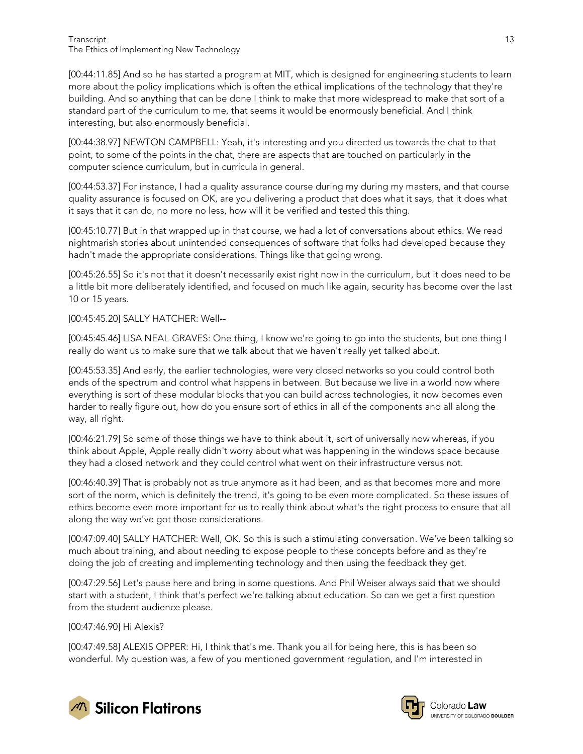[00:44:11.85] And so he has started a program at MIT, which is designed for engineering students to learn more about the policy implications which is often the ethical implications of the technology that they're building. And so anything that can be done I think to make that more widespread to make that sort of a standard part of the curriculum to me, that seems it would be enormously beneficial. And I think interesting, but also enormously beneficial.

[00:44:38.97] NEWTON CAMPBELL: Yeah, it's interesting and you directed us towards the chat to that point, to some of the points in the chat, there are aspects that are touched on particularly in the computer science curriculum, but in curricula in general.

[00:44:53.37] For instance, I had a quality assurance course during my during my masters, and that course quality assurance is focused on OK, are you delivering a product that does what it says, that it does what it says that it can do, no more no less, how will it be verified and tested this thing.

[00:45:10.77] But in that wrapped up in that course, we had a lot of conversations about ethics. We read nightmarish stories about unintended consequences of software that folks had developed because they hadn't made the appropriate considerations. Things like that going wrong.

[00:45:26.55] So it's not that it doesn't necessarily exist right now in the curriculum, but it does need to be a little bit more deliberately identified, and focused on much like again, security has become over the last 10 or 15 years.

[00:45:45.20] SALLY HATCHER: Well--

[00:45:45.46] LISA NEAL-GRAVES: One thing, I know we're going to go into the students, but one thing I really do want us to make sure that we talk about that we haven't really yet talked about.

[00:45:53.35] And early, the earlier technologies, were very closed networks so you could control both ends of the spectrum and control what happens in between. But because we live in a world now where everything is sort of these modular blocks that you can build across technologies, it now becomes even harder to really figure out, how do you ensure sort of ethics in all of the components and all along the way, all right.

[00:46:21.79] So some of those things we have to think about it, sort of universally now whereas, if you think about Apple, Apple really didn't worry about what was happening in the windows space because they had a closed network and they could control what went on their infrastructure versus not.

[00:46:40.39] That is probably not as true anymore as it had been, and as that becomes more and more sort of the norm, which is definitely the trend, it's going to be even more complicated. So these issues of ethics become even more important for us to really think about what's the right process to ensure that all along the way we've got those considerations.

[00:47:09.40] SALLY HATCHER: Well, OK. So this is such a stimulating conversation. We've been talking so much about training, and about needing to expose people to these concepts before and as they're doing the job of creating and implementing technology and then using the feedback they get.

[00:47:29.56] Let's pause here and bring in some questions. And Phil Weiser always said that we should start with a student, I think that's perfect we're talking about education. So can we get a first question from the student audience please.

[00:47:46.90] Hi Alexis?

[00:47:49.58] ALEXIS OPPER: Hi, I think that's me. Thank you all for being here, this is has been so wonderful. My question was, a few of you mentioned government regulation, and I'm interested in



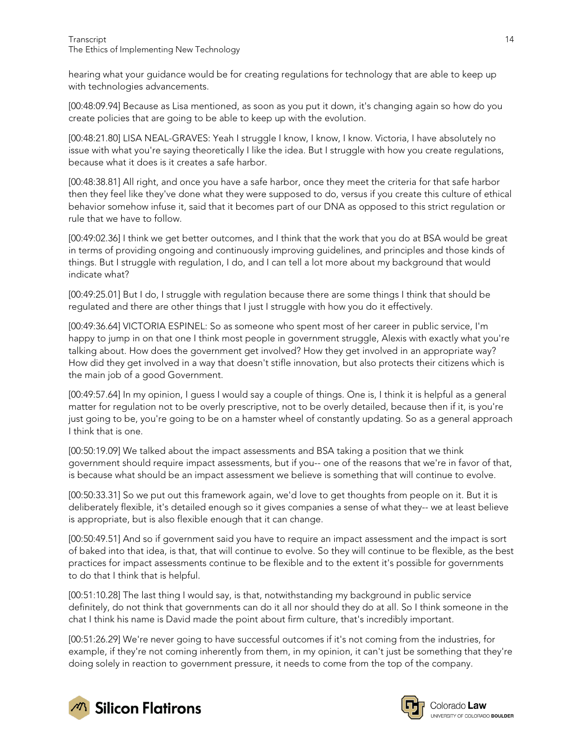hearing what your guidance would be for creating regulations for technology that are able to keep up with technologies advancements.

[00:48:09.94] Because as Lisa mentioned, as soon as you put it down, it's changing again so how do you create policies that are going to be able to keep up with the evolution.

[00:48:21.80] LISA NEAL-GRAVES: Yeah I struggle I know, I know, I know. Victoria, I have absolutely no issue with what you're saying theoretically I like the idea. But I struggle with how you create regulations, because what it does is it creates a safe harbor.

[00:48:38.81] All right, and once you have a safe harbor, once they meet the criteria for that safe harbor then they feel like they've done what they were supposed to do, versus if you create this culture of ethical behavior somehow infuse it, said that it becomes part of our DNA as opposed to this strict regulation or rule that we have to follow.

[00:49:02.36] I think we get better outcomes, and I think that the work that you do at BSA would be great in terms of providing ongoing and continuously improving guidelines, and principles and those kinds of things. But I struggle with regulation, I do, and I can tell a lot more about my background that would indicate what?

[00:49:25.01] But I do, I struggle with regulation because there are some things I think that should be regulated and there are other things that I just I struggle with how you do it effectively.

[00:49:36.64] VICTORIA ESPINEL: So as someone who spent most of her career in public service, I'm happy to jump in on that one I think most people in government struggle, Alexis with exactly what you're talking about. How does the government get involved? How they get involved in an appropriate way? How did they get involved in a way that doesn't stifle innovation, but also protects their citizens which is the main job of a good Government.

[00:49:57.64] In my opinion, I guess I would say a couple of things. One is, I think it is helpful as a general matter for regulation not to be overly prescriptive, not to be overly detailed, because then if it, is you're just going to be, you're going to be on a hamster wheel of constantly updating. So as a general approach I think that is one.

[00:50:19.09] We talked about the impact assessments and BSA taking a position that we think government should require impact assessments, but if you-- one of the reasons that we're in favor of that, is because what should be an impact assessment we believe is something that will continue to evolve.

[00:50:33.31] So we put out this framework again, we'd love to get thoughts from people on it. But it is deliberately flexible, it's detailed enough so it gives companies a sense of what they-- we at least believe is appropriate, but is also flexible enough that it can change.

[00:50:49.51] And so if government said you have to require an impact assessment and the impact is sort of baked into that idea, is that, that will continue to evolve. So they will continue to be flexible, as the best practices for impact assessments continue to be flexible and to the extent it's possible for governments to do that I think that is helpful.

[00:51:10.28] The last thing I would say, is that, notwithstanding my background in public service definitely, do not think that governments can do it all nor should they do at all. So I think someone in the chat I think his name is David made the point about firm culture, that's incredibly important.

[00:51:26.29] We're never going to have successful outcomes if it's not coming from the industries, for example, if they're not coming inherently from them, in my opinion, it can't just be something that they're doing solely in reaction to government pressure, it needs to come from the top of the company.





Colorado **Law** UNIVERSITY OF COLORADO BOULDER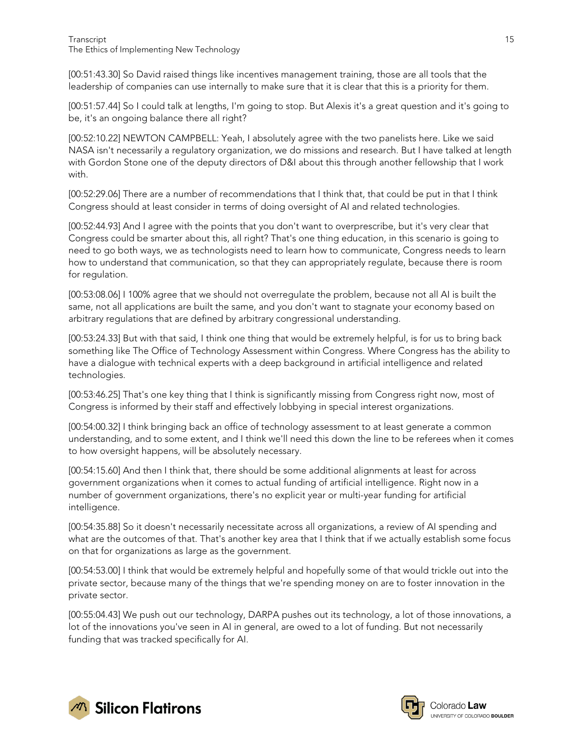[00:51:43.30] So David raised things like incentives management training, those are all tools that the leadership of companies can use internally to make sure that it is clear that this is a priority for them.

[00:51:57.44] So I could talk at lengths, I'm going to stop. But Alexis it's a great question and it's going to be, it's an ongoing balance there all right?

[00:52:10.22] NEWTON CAMPBELL: Yeah, I absolutely agree with the two panelists here. Like we said NASA isn't necessarily a regulatory organization, we do missions and research. But I have talked at length with Gordon Stone one of the deputy directors of D&I about this through another fellowship that I work with.

[00:52:29.06] There are a number of recommendations that I think that, that could be put in that I think Congress should at least consider in terms of doing oversight of AI and related technologies.

[00:52:44.93] And I agree with the points that you don't want to overprescribe, but it's very clear that Congress could be smarter about this, all right? That's one thing education, in this scenario is going to need to go both ways, we as technologists need to learn how to communicate, Congress needs to learn how to understand that communication, so that they can appropriately regulate, because there is room for regulation.

[00:53:08.06] I 100% agree that we should not overregulate the problem, because not all AI is built the same, not all applications are built the same, and you don't want to stagnate your economy based on arbitrary regulations that are defined by arbitrary congressional understanding.

[00:53:24.33] But with that said, I think one thing that would be extremely helpful, is for us to bring back something like The Office of Technology Assessment within Congress. Where Congress has the ability to have a dialogue with technical experts with a deep background in artificial intelligence and related technologies.

[00:53:46.25] That's one key thing that I think is significantly missing from Congress right now, most of Congress is informed by their staff and effectively lobbying in special interest organizations.

[00:54:00.32] I think bringing back an office of technology assessment to at least generate a common understanding, and to some extent, and I think we'll need this down the line to be referees when it comes to how oversight happens, will be absolutely necessary.

[00:54:15.60] And then I think that, there should be some additional alignments at least for across government organizations when it comes to actual funding of artificial intelligence. Right now in a number of government organizations, there's no explicit year or multi-year funding for artificial intelligence.

[00:54:35.88] So it doesn't necessarily necessitate across all organizations, a review of AI spending and what are the outcomes of that. That's another key area that I think that if we actually establish some focus on that for organizations as large as the government.

[00:54:53.00] I think that would be extremely helpful and hopefully some of that would trickle out into the private sector, because many of the things that we're spending money on are to foster innovation in the private sector.

[00:55:04.43] We push out our technology, DARPA pushes out its technology, a lot of those innovations, a lot of the innovations you've seen in AI in general, are owed to a lot of funding. But not necessarily funding that was tracked specifically for AI.



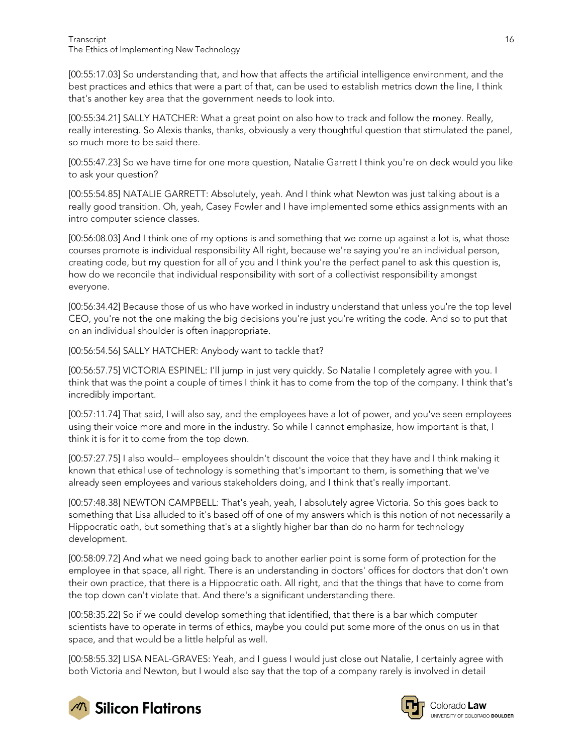[00:55:17.03] So understanding that, and how that affects the artificial intelligence environment, and the best practices and ethics that were a part of that, can be used to establish metrics down the line, I think that's another key area that the government needs to look into.

[00:55:34.21] SALLY HATCHER: What a great point on also how to track and follow the money. Really, really interesting. So Alexis thanks, thanks, obviously a very thoughtful question that stimulated the panel, so much more to be said there.

[00:55:47.23] So we have time for one more question, Natalie Garrett I think you're on deck would you like to ask your question?

[00:55:54.85] NATALIE GARRETT: Absolutely, yeah. And I think what Newton was just talking about is a really good transition. Oh, yeah, Casey Fowler and I have implemented some ethics assignments with an intro computer science classes.

[00:56:08.03] And I think one of my options is and something that we come up against a lot is, what those courses promote is individual responsibility All right, because we're saying you're an individual person, creating code, but my question for all of you and I think you're the perfect panel to ask this question is, how do we reconcile that individual responsibility with sort of a collectivist responsibility amongst everyone.

[00:56:34.42] Because those of us who have worked in industry understand that unless you're the top level CEO, you're not the one making the big decisions you're just you're writing the code. And so to put that on an individual shoulder is often inappropriate.

[00:56:54.56] SALLY HATCHER: Anybody want to tackle that?

[00:56:57.75] VICTORIA ESPINEL: I'll jump in just very quickly. So Natalie I completely agree with you. I think that was the point a couple of times I think it has to come from the top of the company. I think that's incredibly important.

[00:57:11.74] That said, I will also say, and the employees have a lot of power, and you've seen employees using their voice more and more in the industry. So while I cannot emphasize, how important is that, I think it is for it to come from the top down.

[00:57:27.75] I also would-- employees shouldn't discount the voice that they have and I think making it known that ethical use of technology is something that's important to them, is something that we've already seen employees and various stakeholders doing, and I think that's really important.

[00:57:48.38] NEWTON CAMPBELL: That's yeah, yeah, I absolutely agree Victoria. So this goes back to something that Lisa alluded to it's based off of one of my answers which is this notion of not necessarily a Hippocratic oath, but something that's at a slightly higher bar than do no harm for technology development.

[00:58:09.72] And what we need going back to another earlier point is some form of protection for the employee in that space, all right. There is an understanding in doctors' offices for doctors that don't own their own practice, that there is a Hippocratic oath. All right, and that the things that have to come from the top down can't violate that. And there's a significant understanding there.

[00:58:35.22] So if we could develop something that identified, that there is a bar which computer scientists have to operate in terms of ethics, maybe you could put some more of the onus on us in that space, and that would be a little helpful as well.

[00:58:55.32] LISA NEAL-GRAVES: Yeah, and I guess I would just close out Natalie, I certainly agree with both Victoria and Newton, but I would also say that the top of a company rarely is involved in detail



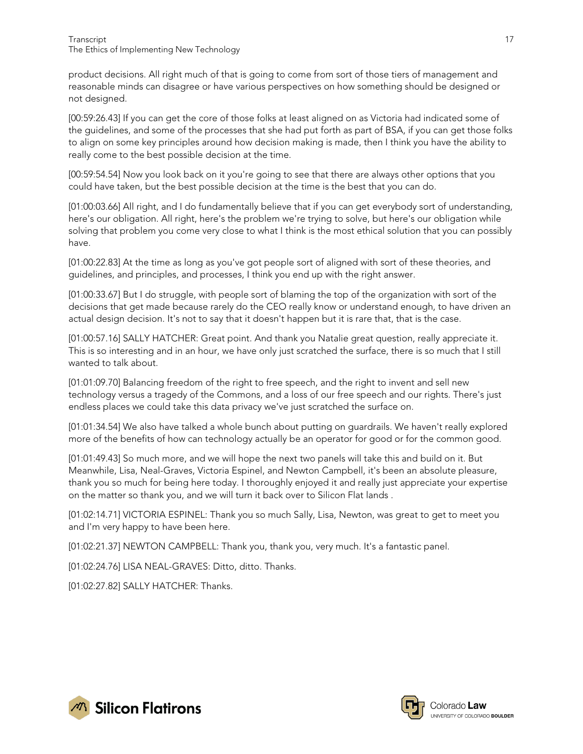product decisions. All right much of that is going to come from sort of those tiers of management and reasonable minds can disagree or have various perspectives on how something should be designed or not designed.

[00:59:26.43] If you can get the core of those folks at least aligned on as Victoria had indicated some of the guidelines, and some of the processes that she had put forth as part of BSA, if you can get those folks to align on some key principles around how decision making is made, then I think you have the ability to really come to the best possible decision at the time.

[00:59:54.54] Now you look back on it you're going to see that there are always other options that you could have taken, but the best possible decision at the time is the best that you can do.

[01:00:03.66] All right, and I do fundamentally believe that if you can get everybody sort of understanding, here's our obligation. All right, here's the problem we're trying to solve, but here's our obligation while solving that problem you come very close to what I think is the most ethical solution that you can possibly have.

[01:00:22.83] At the time as long as you've got people sort of aligned with sort of these theories, and guidelines, and principles, and processes, I think you end up with the right answer.

[01:00:33.67] But I do struggle, with people sort of blaming the top of the organization with sort of the decisions that get made because rarely do the CEO really know or understand enough, to have driven an actual design decision. It's not to say that it doesn't happen but it is rare that, that is the case.

[01:00:57.16] SALLY HATCHER: Great point. And thank you Natalie great question, really appreciate it. This is so interesting and in an hour, we have only just scratched the surface, there is so much that I still wanted to talk about.

[01:01:09.70] Balancing freedom of the right to free speech, and the right to invent and sell new technology versus a tragedy of the Commons, and a loss of our free speech and our rights. There's just endless places we could take this data privacy we've just scratched the surface on.

[01:01:34.54] We also have talked a whole bunch about putting on guardrails. We haven't really explored more of the benefits of how can technology actually be an operator for good or for the common good.

[01:01:49.43] So much more, and we will hope the next two panels will take this and build on it. But Meanwhile, Lisa, Neal-Graves, Victoria Espinel, and Newton Campbell, it's been an absolute pleasure, thank you so much for being here today. I thoroughly enjoyed it and really just appreciate your expertise on the matter so thank you, and we will turn it back over to Silicon Flat lands .

[01:02:14.71] VICTORIA ESPINEL: Thank you so much Sally, Lisa, Newton, was great to get to meet you and I'm very happy to have been here.

[01:02:21.37] NEWTON CAMPBELL: Thank you, thank you, very much. It's a fantastic panel.

[01:02:24.76] LISA NEAL-GRAVES: Ditto, ditto. Thanks.

[01:02:27.82] SALLY HATCHER: Thanks.



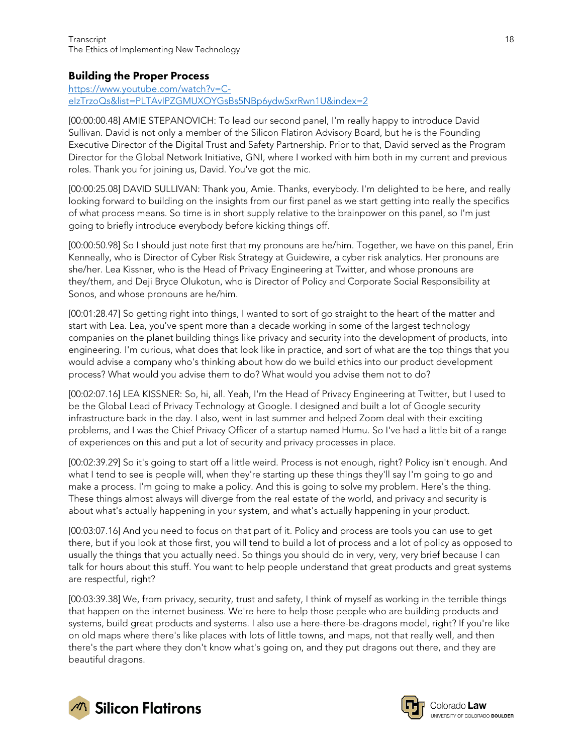#### <span id="page-17-0"></span>Building the Proper Process

[https://www.youtube.com/watch?v=C](https://www.youtube.com/watch?v=C-eIzTrzoQs&list=PLTAvIPZGMUXOYGsBs5NBp6ydwSxrRwn1U&index=2)[eIzTrzoQs&list=PLTAvIPZGMUXOYGsBs5NBp6ydwSxrRwn1U&index=2](https://www.youtube.com/watch?v=C-eIzTrzoQs&list=PLTAvIPZGMUXOYGsBs5NBp6ydwSxrRwn1U&index=2)

[00:00:00.48] AMIE STEPANOVICH: To lead our second panel, I'm really happy to introduce David Sullivan. David is not only a member of the Silicon Flatiron Advisory Board, but he is the Founding Executive Director of the Digital Trust and Safety Partnership. Prior to that, David served as the Program Director for the Global Network Initiative, GNI, where I worked with him both in my current and previous roles. Thank you for joining us, David. You've got the mic.

[00:00:25.08] DAVID SULLIVAN: Thank you, Amie. Thanks, everybody. I'm delighted to be here, and really looking forward to building on the insights from our first panel as we start getting into really the specifics of what process means. So time is in short supply relative to the brainpower on this panel, so I'm just going to briefly introduce everybody before kicking things off.

[00:00:50.98] So I should just note first that my pronouns are he/him. Together, we have on this panel, Erin Kenneally, who is Director of Cyber Risk Strategy at Guidewire, a cyber risk analytics. Her pronouns are she/her. Lea Kissner, who is the Head of Privacy Engineering at Twitter, and whose pronouns are they/them, and Deji Bryce Olukotun, who is Director of Policy and Corporate Social Responsibility at Sonos, and whose pronouns are he/him.

[00:01:28.47] So getting right into things, I wanted to sort of go straight to the heart of the matter and start with Lea. Lea, you've spent more than a decade working in some of the largest technology companies on the planet building things like privacy and security into the development of products, into engineering. I'm curious, what does that look like in practice, and sort of what are the top things that you would advise a company who's thinking about how do we build ethics into our product development process? What would you advise them to do? What would you advise them not to do?

[00:02:07.16] LEA KISSNER: So, hi, all. Yeah, I'm the Head of Privacy Engineering at Twitter, but I used to be the Global Lead of Privacy Technology at Google. I designed and built a lot of Google security infrastructure back in the day. I also, went in last summer and helped Zoom deal with their exciting problems, and I was the Chief Privacy Officer of a startup named Humu. So I've had a little bit of a range of experiences on this and put a lot of security and privacy processes in place.

[00:02:39.29] So it's going to start off a little weird. Process is not enough, right? Policy isn't enough. And what I tend to see is people will, when they're starting up these things they'll say I'm going to go and make a process. I'm going to make a policy. And this is going to solve my problem. Here's the thing. These things almost always will diverge from the real estate of the world, and privacy and security is about what's actually happening in your system, and what's actually happening in your product.

[00:03:07.16] And you need to focus on that part of it. Policy and process are tools you can use to get there, but if you look at those first, you will tend to build a lot of process and a lot of policy as opposed to usually the things that you actually need. So things you should do in very, very, very brief because I can talk for hours about this stuff. You want to help people understand that great products and great systems are respectful, right?

[00:03:39.38] We, from privacy, security, trust and safety, I think of myself as working in the terrible things that happen on the internet business. We're here to help those people who are building products and systems, build great products and systems. I also use a here-there-be-dragons model, right? If you're like on old maps where there's like places with lots of little towns, and maps, not that really well, and then there's the part where they don't know what's going on, and they put dragons out there, and they are beautiful dragons.



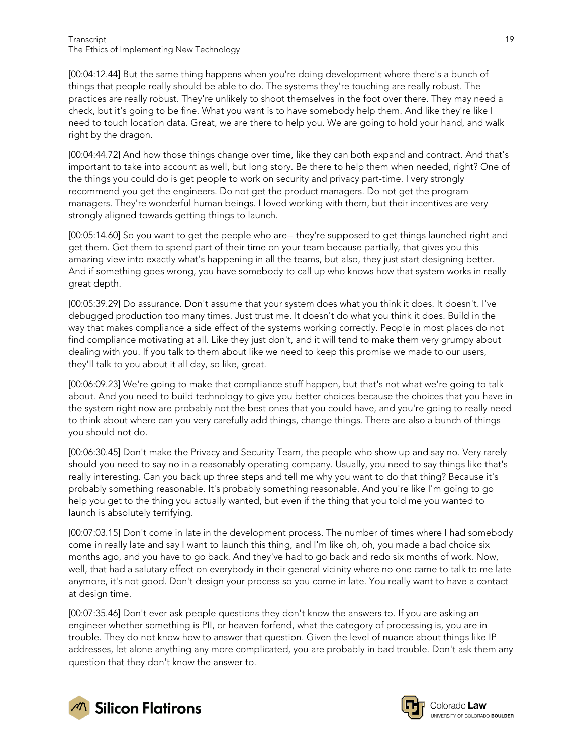[00:04:12.44] But the same thing happens when you're doing development where there's a bunch of things that people really should be able to do. The systems they're touching are really robust. The practices are really robust. They're unlikely to shoot themselves in the foot over there. They may need a check, but it's going to be fine. What you want is to have somebody help them. And like they're like I need to touch location data. Great, we are there to help you. We are going to hold your hand, and walk right by the dragon.

[00:04:44.72] And how those things change over time, like they can both expand and contract. And that's important to take into account as well, but long story. Be there to help them when needed, right? One of the things you could do is get people to work on security and privacy part-time. I very strongly recommend you get the engineers. Do not get the product managers. Do not get the program managers. They're wonderful human beings. I loved working with them, but their incentives are very strongly aligned towards getting things to launch.

[00:05:14.60] So you want to get the people who are-- they're supposed to get things launched right and get them. Get them to spend part of their time on your team because partially, that gives you this amazing view into exactly what's happening in all the teams, but also, they just start designing better. And if something goes wrong, you have somebody to call up who knows how that system works in really great depth.

[00:05:39.29] Do assurance. Don't assume that your system does what you think it does. It doesn't. I've debugged production too many times. Just trust me. It doesn't do what you think it does. Build in the way that makes compliance a side effect of the systems working correctly. People in most places do not find compliance motivating at all. Like they just don't, and it will tend to make them very grumpy about dealing with you. If you talk to them about like we need to keep this promise we made to our users, they'll talk to you about it all day, so like, great.

[00:06:09.23] We're going to make that compliance stuff happen, but that's not what we're going to talk about. And you need to build technology to give you better choices because the choices that you have in the system right now are probably not the best ones that you could have, and you're going to really need to think about where can you very carefully add things, change things. There are also a bunch of things you should not do.

[00:06:30.45] Don't make the Privacy and Security Team, the people who show up and say no. Very rarely should you need to say no in a reasonably operating company. Usually, you need to say things like that's really interesting. Can you back up three steps and tell me why you want to do that thing? Because it's probably something reasonable. It's probably something reasonable. And you're like I'm going to go help you get to the thing you actually wanted, but even if the thing that you told me you wanted to launch is absolutely terrifying.

[00:07:03.15] Don't come in late in the development process. The number of times where I had somebody come in really late and say I want to launch this thing, and I'm like oh, oh, you made a bad choice six months ago, and you have to go back. And they've had to go back and redo six months of work. Now, well, that had a salutary effect on everybody in their general vicinity where no one came to talk to me late anymore, it's not good. Don't design your process so you come in late. You really want to have a contact at design time.

[00:07:35.46] Don't ever ask people questions they don't know the answers to. If you are asking an engineer whether something is PII, or heaven forfend, what the category of processing is, you are in trouble. They do not know how to answer that question. Given the level of nuance about things like IP addresses, let alone anything any more complicated, you are probably in bad trouble. Don't ask them any question that they don't know the answer to.



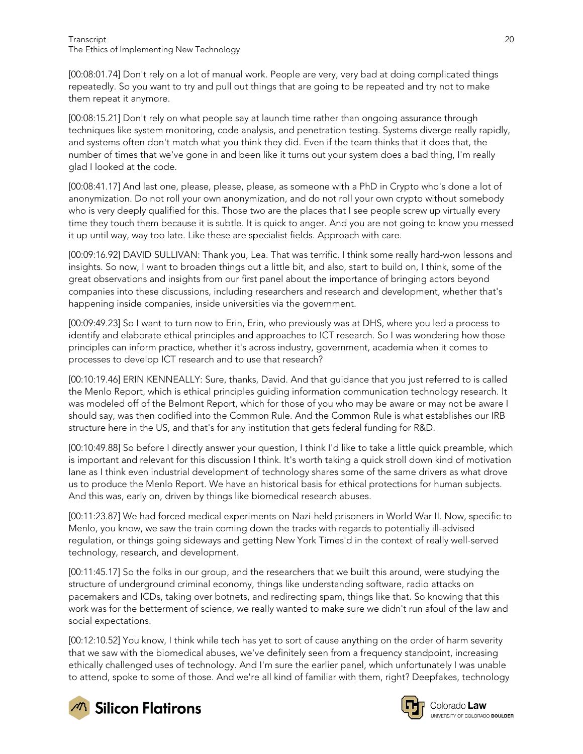[00:08:01.74] Don't rely on a lot of manual work. People are very, very bad at doing complicated things repeatedly. So you want to try and pull out things that are going to be repeated and try not to make them repeat it anymore.

[00:08:15.21] Don't rely on what people say at launch time rather than ongoing assurance through techniques like system monitoring, code analysis, and penetration testing. Systems diverge really rapidly, and systems often don't match what you think they did. Even if the team thinks that it does that, the number of times that we've gone in and been like it turns out your system does a bad thing, I'm really glad I looked at the code.

[00:08:41.17] And last one, please, please, please, as someone with a PhD in Crypto who's done a lot of anonymization. Do not roll your own anonymization, and do not roll your own crypto without somebody who is very deeply qualified for this. Those two are the places that I see people screw up virtually every time they touch them because it is subtle. It is quick to anger. And you are not going to know you messed it up until way, way too late. Like these are specialist fields. Approach with care.

[00:09:16.92] DAVID SULLIVAN: Thank you, Lea. That was terrific. I think some really hard-won lessons and insights. So now, I want to broaden things out a little bit, and also, start to build on, I think, some of the great observations and insights from our first panel about the importance of bringing actors beyond companies into these discussions, including researchers and research and development, whether that's happening inside companies, inside universities via the government.

[00:09:49.23] So I want to turn now to Erin, Erin, who previously was at DHS, where you led a process to identify and elaborate ethical principles and approaches to ICT research. So I was wondering how those principles can inform practice, whether it's across industry, government, academia when it comes to processes to develop ICT research and to use that research?

[00:10:19.46] ERIN KENNEALLY: Sure, thanks, David. And that guidance that you just referred to is called the Menlo Report, which is ethical principles guiding information communication technology research. It was modeled off of the Belmont Report, which for those of you who may be aware or may not be aware I should say, was then codified into the Common Rule. And the Common Rule is what establishes our IRB structure here in the US, and that's for any institution that gets federal funding for R&D.

[00:10:49.88] So before I directly answer your question, I think I'd like to take a little quick preamble, which is important and relevant for this discussion I think. It's worth taking a quick stroll down kind of motivation lane as I think even industrial development of technology shares some of the same drivers as what drove us to produce the Menlo Report. We have an historical basis for ethical protections for human subjects. And this was, early on, driven by things like biomedical research abuses.

[00:11:23.87] We had forced medical experiments on Nazi-held prisoners in World War II. Now, specific to Menlo, you know, we saw the train coming down the tracks with regards to potentially ill-advised regulation, or things going sideways and getting New York Times'd in the context of really well-served technology, research, and development.

[00:11:45.17] So the folks in our group, and the researchers that we built this around, were studying the structure of underground criminal economy, things like understanding software, radio attacks on pacemakers and ICDs, taking over botnets, and redirecting spam, things like that. So knowing that this work was for the betterment of science, we really wanted to make sure we didn't run afoul of the law and social expectations.

[00:12:10.52] You know, I think while tech has yet to sort of cause anything on the order of harm severity that we saw with the biomedical abuses, we've definitely seen from a frequency standpoint, increasing ethically challenged uses of technology. And I'm sure the earlier panel, which unfortunately I was unable to attend, spoke to some of those. And we're all kind of familiar with them, right? Deepfakes, technology



**M** Silicon Flatirons



Colorado Law **UNIVERSITY OF COLOBADO BOULDER**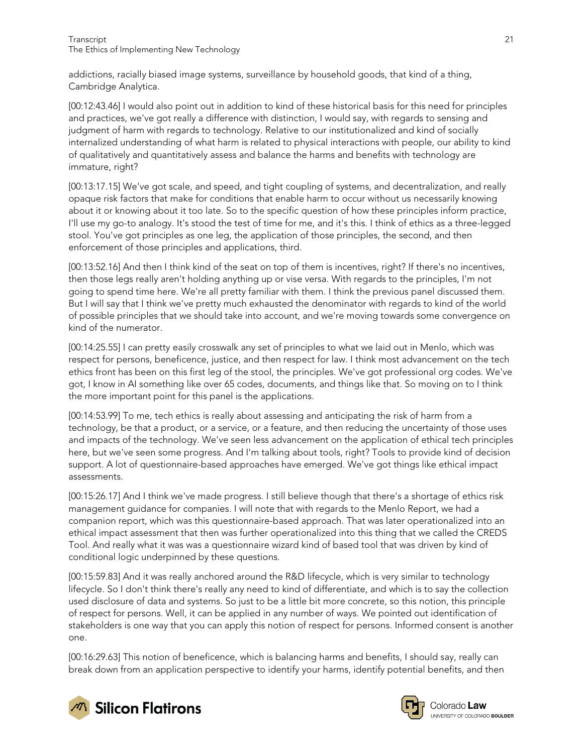addictions, racially biased image systems, surveillance by household goods, that kind of a thing, Cambridge Analytica.

[00:12:43.46] I would also point out in addition to kind of these historical basis for this need for principles and practices, we've got really a difference with distinction, I would say, with regards to sensing and judgment of harm with regards to technology. Relative to our institutionalized and kind of socially internalized understanding of what harm is related to physical interactions with people, our ability to kind of qualitatively and quantitatively assess and balance the harms and benefits with technology are immature, right?

[00:13:17.15] We've got scale, and speed, and tight coupling of systems, and decentralization, and really opaque risk factors that make for conditions that enable harm to occur without us necessarily knowing about it or knowing about it too late. So to the specific question of how these principles inform practice, I'll use my go-to analogy. It's stood the test of time for me, and it's this. I think of ethics as a three-legged stool. You've got principles as one leg, the application of those principles, the second, and then enforcement of those principles and applications, third.

[00:13:52.16] And then I think kind of the seat on top of them is incentives, right? If there's no incentives, then those legs really aren't holding anything up or vise versa. With regards to the principles, I'm not going to spend time here. We're all pretty familiar with them. I think the previous panel discussed them. But I will say that I think we've pretty much exhausted the denominator with regards to kind of the world of possible principles that we should take into account, and we're moving towards some convergence on kind of the numerator.

[00:14:25.55] I can pretty easily crosswalk any set of principles to what we laid out in Menlo, which was respect for persons, beneficence, justice, and then respect for law. I think most advancement on the tech ethics front has been on this first leg of the stool, the principles. We've got professional org codes. We've got, I know in AI something like over 65 codes, documents, and things like that. So moving on to I think the more important point for this panel is the applications.

[00:14:53.99] To me, tech ethics is really about assessing and anticipating the risk of harm from a technology, be that a product, or a service, or a feature, and then reducing the uncertainty of those uses and impacts of the technology. We've seen less advancement on the application of ethical tech principles here, but we've seen some progress. And I'm talking about tools, right? Tools to provide kind of decision support. A lot of questionnaire-based approaches have emerged. We've got things like ethical impact assessments.

[00:15:26.17] And I think we've made progress. I still believe though that there's a shortage of ethics risk management guidance for companies. I will note that with regards to the Menlo Report, we had a companion report, which was this questionnaire-based approach. That was later operationalized into an ethical impact assessment that then was further operationalized into this thing that we called the CREDS Tool. And really what it was was a questionnaire wizard kind of based tool that was driven by kind of conditional logic underpinned by these questions.

[00:15:59.83] And it was really anchored around the R&D lifecycle, which is very similar to technology lifecycle. So I don't think there's really any need to kind of differentiate, and which is to say the collection used disclosure of data and systems. So just to be a little bit more concrete, so this notion, this principle of respect for persons. Well, it can be applied in any number of ways. We pointed out identification of stakeholders is one way that you can apply this notion of respect for persons. Informed consent is another one.

[00:16:29.63] This notion of beneficence, which is balancing harms and benefits, I should say, really can break down from an application perspective to identify your harms, identify potential benefits, and then



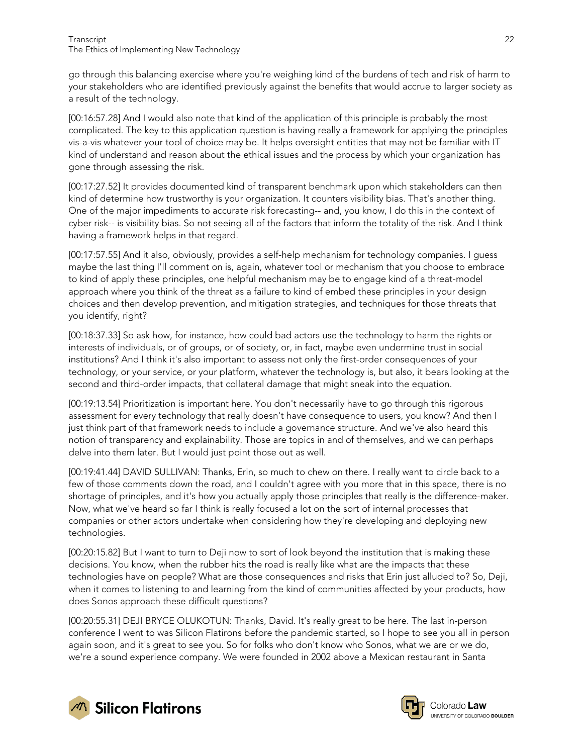go through this balancing exercise where you're weighing kind of the burdens of tech and risk of harm to your stakeholders who are identified previously against the benefits that would accrue to larger society as a result of the technology.

[00:16:57.28] And I would also note that kind of the application of this principle is probably the most complicated. The key to this application question is having really a framework for applying the principles vis-a-vis whatever your tool of choice may be. It helps oversight entities that may not be familiar with IT kind of understand and reason about the ethical issues and the process by which your organization has gone through assessing the risk.

[00:17:27.52] It provides documented kind of transparent benchmark upon which stakeholders can then kind of determine how trustworthy is your organization. It counters visibility bias. That's another thing. One of the major impediments to accurate risk forecasting-- and, you know, I do this in the context of cyber risk-- is visibility bias. So not seeing all of the factors that inform the totality of the risk. And I think having a framework helps in that regard.

[00:17:57.55] And it also, obviously, provides a self-help mechanism for technology companies. I guess maybe the last thing I'll comment on is, again, whatever tool or mechanism that you choose to embrace to kind of apply these principles, one helpful mechanism may be to engage kind of a threat-model approach where you think of the threat as a failure to kind of embed these principles in your design choices and then develop prevention, and mitigation strategies, and techniques for those threats that you identify, right?

[00:18:37.33] So ask how, for instance, how could bad actors use the technology to harm the rights or interests of individuals, or of groups, or of society, or, in fact, maybe even undermine trust in social institutions? And I think it's also important to assess not only the first-order consequences of your technology, or your service, or your platform, whatever the technology is, but also, it bears looking at the second and third-order impacts, that collateral damage that might sneak into the equation.

[00:19:13.54] Prioritization is important here. You don't necessarily have to go through this rigorous assessment for every technology that really doesn't have consequence to users, you know? And then I just think part of that framework needs to include a governance structure. And we've also heard this notion of transparency and explainability. Those are topics in and of themselves, and we can perhaps delve into them later. But I would just point those out as well.

[00:19:41.44] DAVID SULLIVAN: Thanks, Erin, so much to chew on there. I really want to circle back to a few of those comments down the road, and I couldn't agree with you more that in this space, there is no shortage of principles, and it's how you actually apply those principles that really is the difference-maker. Now, what we've heard so far I think is really focused a lot on the sort of internal processes that companies or other actors undertake when considering how they're developing and deploying new technologies.

[00:20:15.82] But I want to turn to Deji now to sort of look beyond the institution that is making these decisions. You know, when the rubber hits the road is really like what are the impacts that these technologies have on people? What are those consequences and risks that Erin just alluded to? So, Deji, when it comes to listening to and learning from the kind of communities affected by your products, how does Sonos approach these difficult questions?

[00:20:55.31] DEJI BRYCE OLUKOTUN: Thanks, David. It's really great to be here. The last in-person conference I went to was Silicon Flatirons before the pandemic started, so I hope to see you all in person again soon, and it's great to see you. So for folks who don't know who Sonos, what we are or we do, we're a sound experience company. We were founded in 2002 above a Mexican restaurant in Santa



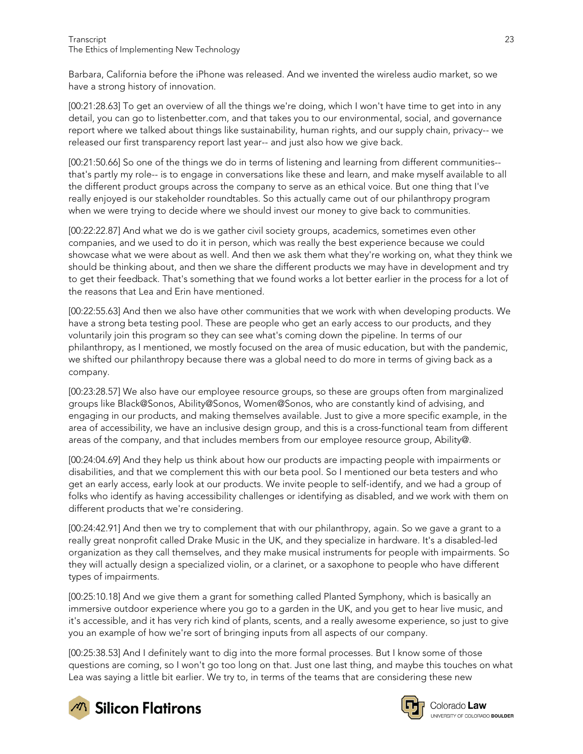Barbara, California before the iPhone was released. And we invented the wireless audio market, so we have a strong history of innovation.

[00:21:28.63] To get an overview of all the things we're doing, which I won't have time to get into in any detail, you can go to listenbetter.com, and that takes you to our environmental, social, and governance report where we talked about things like sustainability, human rights, and our supply chain, privacy-- we released our first transparency report last year-- and just also how we give back.

[00:21:50.66] So one of the things we do in terms of listening and learning from different communities- that's partly my role-- is to engage in conversations like these and learn, and make myself available to all the different product groups across the company to serve as an ethical voice. But one thing that I've really enjoyed is our stakeholder roundtables. So this actually came out of our philanthropy program when we were trying to decide where we should invest our money to give back to communities.

[00:22:22.87] And what we do is we gather civil society groups, academics, sometimes even other companies, and we used to do it in person, which was really the best experience because we could showcase what we were about as well. And then we ask them what they're working on, what they think we should be thinking about, and then we share the different products we may have in development and try to get their feedback. That's something that we found works a lot better earlier in the process for a lot of the reasons that Lea and Erin have mentioned.

[00:22:55.63] And then we also have other communities that we work with when developing products. We have a strong beta testing pool. These are people who get an early access to our products, and they voluntarily join this program so they can see what's coming down the pipeline. In terms of our philanthropy, as I mentioned, we mostly focused on the area of music education, but with the pandemic, we shifted our philanthropy because there was a global need to do more in terms of giving back as a company.

[00:23:28.57] We also have our employee resource groups, so these are groups often from marginalized groups like Black@Sonos, Ability@Sonos, Women@Sonos, who are constantly kind of advising, and engaging in our products, and making themselves available. Just to give a more specific example, in the area of accessibility, we have an inclusive design group, and this is a cross-functional team from different areas of the company, and that includes members from our employee resource group, Ability@.

[00:24:04.69] And they help us think about how our products are impacting people with impairments or disabilities, and that we complement this with our beta pool. So I mentioned our beta testers and who get an early access, early look at our products. We invite people to self-identify, and we had a group of folks who identify as having accessibility challenges or identifying as disabled, and we work with them on different products that we're considering.

[00:24:42.91] And then we try to complement that with our philanthropy, again. So we gave a grant to a really great nonprofit called Drake Music in the UK, and they specialize in hardware. It's a disabled-led organization as they call themselves, and they make musical instruments for people with impairments. So they will actually design a specialized violin, or a clarinet, or a saxophone to people who have different types of impairments.

[00:25:10.18] And we give them a grant for something called Planted Symphony, which is basically an immersive outdoor experience where you go to a garden in the UK, and you get to hear live music, and it's accessible, and it has very rich kind of plants, scents, and a really awesome experience, so just to give you an example of how we're sort of bringing inputs from all aspects of our company.

[00:25:38.53] And I definitely want to dig into the more formal processes. But I know some of those questions are coming, so I won't go too long on that. Just one last thing, and maybe this touches on what Lea was saying a little bit earlier. We try to, in terms of the teams that are considering these new



**M** Silicon Flatirons



Colorado Law UNIVERSITY OF COLORADO BOULDER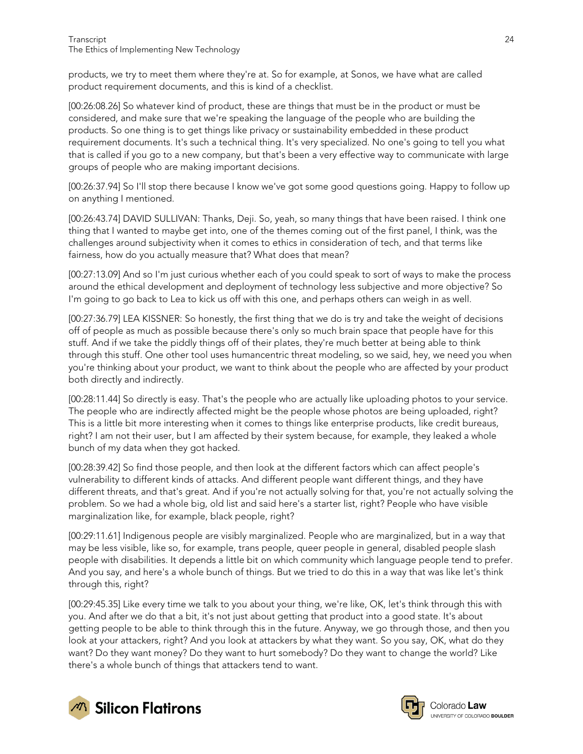products, we try to meet them where they're at. So for example, at Sonos, we have what are called product requirement documents, and this is kind of a checklist.

[00:26:08.26] So whatever kind of product, these are things that must be in the product or must be considered, and make sure that we're speaking the language of the people who are building the products. So one thing is to get things like privacy or sustainability embedded in these product requirement documents. It's such a technical thing. It's very specialized. No one's going to tell you what that is called if you go to a new company, but that's been a very effective way to communicate with large groups of people who are making important decisions.

[00:26:37.94] So I'll stop there because I know we've got some good questions going. Happy to follow up on anything I mentioned.

[00:26:43.74] DAVID SULLIVAN: Thanks, Deji. So, yeah, so many things that have been raised. I think one thing that I wanted to maybe get into, one of the themes coming out of the first panel, I think, was the challenges around subjectivity when it comes to ethics in consideration of tech, and that terms like fairness, how do you actually measure that? What does that mean?

[00:27:13.09] And so I'm just curious whether each of you could speak to sort of ways to make the process around the ethical development and deployment of technology less subjective and more objective? So I'm going to go back to Lea to kick us off with this one, and perhaps others can weigh in as well.

[00:27:36.79] LEA KISSNER: So honestly, the first thing that we do is try and take the weight of decisions off of people as much as possible because there's only so much brain space that people have for this stuff. And if we take the piddly things off of their plates, they're much better at being able to think through this stuff. One other tool uses humancentric threat modeling, so we said, hey, we need you when you're thinking about your product, we want to think about the people who are affected by your product both directly and indirectly.

[00:28:11.44] So directly is easy. That's the people who are actually like uploading photos to your service. The people who are indirectly affected might be the people whose photos are being uploaded, right? This is a little bit more interesting when it comes to things like enterprise products, like credit bureaus, right? I am not their user, but I am affected by their system because, for example, they leaked a whole bunch of my data when they got hacked.

[00:28:39.42] So find those people, and then look at the different factors which can affect people's vulnerability to different kinds of attacks. And different people want different things, and they have different threats, and that's great. And if you're not actually solving for that, you're not actually solving the problem. So we had a whole big, old list and said here's a starter list, right? People who have visible marginalization like, for example, black people, right?

[00:29:11.61] Indigenous people are visibly marginalized. People who are marginalized, but in a way that may be less visible, like so, for example, trans people, queer people in general, disabled people slash people with disabilities. It depends a little bit on which community which language people tend to prefer. And you say, and here's a whole bunch of things. But we tried to do this in a way that was like let's think through this, right?

[00:29:45.35] Like every time we talk to you about your thing, we're like, OK, let's think through this with you. And after we do that a bit, it's not just about getting that product into a good state. It's about getting people to be able to think through this in the future. Anyway, we go through those, and then you look at your attackers, right? And you look at attackers by what they want. So you say, OK, what do they want? Do they want money? Do they want to hurt somebody? Do they want to change the world? Like there's a whole bunch of things that attackers tend to want.



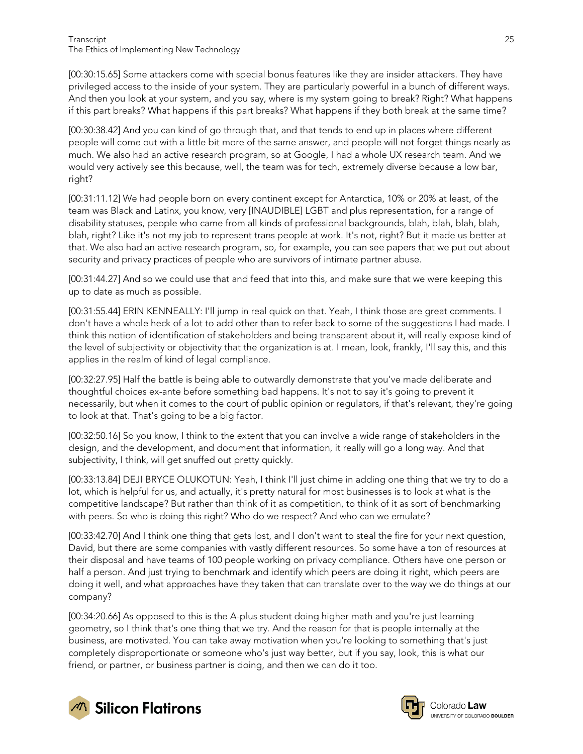[00:30:15.65] Some attackers come with special bonus features like they are insider attackers. They have privileged access to the inside of your system. They are particularly powerful in a bunch of different ways. And then you look at your system, and you say, where is my system going to break? Right? What happens if this part breaks? What happens if this part breaks? What happens if they both break at the same time?

[00:30:38.42] And you can kind of go through that, and that tends to end up in places where different people will come out with a little bit more of the same answer, and people will not forget things nearly as much. We also had an active research program, so at Google, I had a whole UX research team. And we would very actively see this because, well, the team was for tech, extremely diverse because a low bar, right?

[00:31:11.12] We had people born on every continent except for Antarctica, 10% or 20% at least, of the team was Black and Latinx, you know, very [INAUDIBLE] LGBT and plus representation, for a range of disability statuses, people who came from all kinds of professional backgrounds, blah, blah, blah, blah, blah, right? Like it's not my job to represent trans people at work. It's not, right? But it made us better at that. We also had an active research program, so, for example, you can see papers that we put out about security and privacy practices of people who are survivors of intimate partner abuse.

[00:31:44.27] And so we could use that and feed that into this, and make sure that we were keeping this up to date as much as possible.

[00:31:55.44] ERIN KENNEALLY: I'll jump in real quick on that. Yeah, I think those are great comments. I don't have a whole heck of a lot to add other than to refer back to some of the suggestions I had made. I think this notion of identification of stakeholders and being transparent about it, will really expose kind of the level of subjectivity or objectivity that the organization is at. I mean, look, frankly, I'll say this, and this applies in the realm of kind of legal compliance.

[00:32:27.95] Half the battle is being able to outwardly demonstrate that you've made deliberate and thoughtful choices ex-ante before something bad happens. It's not to say it's going to prevent it necessarily, but when it comes to the court of public opinion or regulators, if that's relevant, they're going to look at that. That's going to be a big factor.

[00:32:50.16] So you know, I think to the extent that you can involve a wide range of stakeholders in the design, and the development, and document that information, it really will go a long way. And that subjectivity, I think, will get snuffed out pretty quickly.

[00:33:13.84] DEJI BRYCE OLUKOTUN: Yeah, I think I'll just chime in adding one thing that we try to do a lot, which is helpful for us, and actually, it's pretty natural for most businesses is to look at what is the competitive landscape? But rather than think of it as competition, to think of it as sort of benchmarking with peers. So who is doing this right? Who do we respect? And who can we emulate?

[00:33:42.70] And I think one thing that gets lost, and I don't want to steal the fire for your next question, David, but there are some companies with vastly different resources. So some have a ton of resources at their disposal and have teams of 100 people working on privacy compliance. Others have one person or half a person. And just trying to benchmark and identify which peers are doing it right, which peers are doing it well, and what approaches have they taken that can translate over to the way we do things at our company?

[00:34:20.66] As opposed to this is the A-plus student doing higher math and you're just learning geometry, so I think that's one thing that we try. And the reason for that is people internally at the business, are motivated. You can take away motivation when you're looking to something that's just completely disproportionate or someone who's just way better, but if you say, look, this is what our friend, or partner, or business partner is doing, and then we can do it too.





Colorado **Law** UNIVERSITY OF COLORADO BOULDER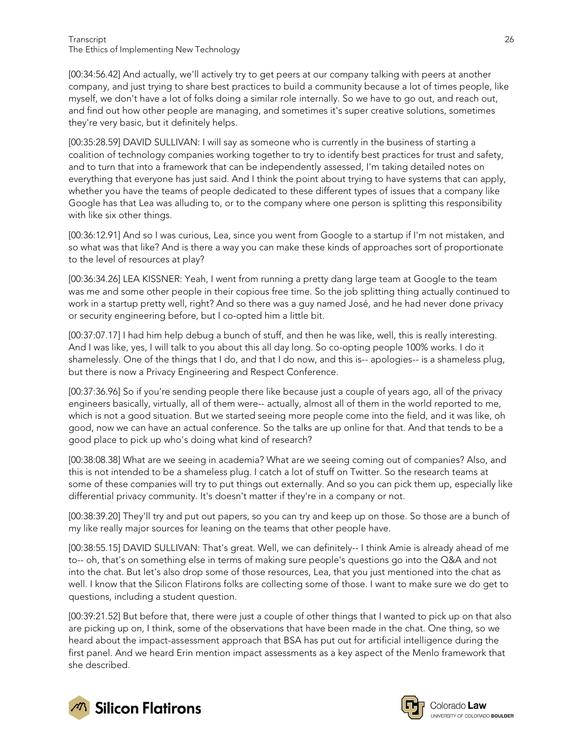[00:34:56.42] And actually, we'll actively try to get peers at our company talking with peers at another company, and just trying to share best practices to build a community because a lot of times people, like myself, we don't have a lot of folks doing a similar role internally. So we have to go out, and reach out, and find out how other people are managing, and sometimes it's super creative solutions, sometimes they're very basic, but it definitely helps.

[00:35:28.59] DAVID SULLIVAN: I will say as someone who is currently in the business of starting a coalition of technology companies working together to try to identify best practices for trust and safety, and to turn that into a framework that can be independently assessed, I'm taking detailed notes on everything that everyone has just said. And I think the point about trying to have systems that can apply, whether you have the teams of people dedicated to these different types of issues that a company like Google has that Lea was alluding to, or to the company where one person is splitting this responsibility with like six other things.

[00:36:12.91] And so I was curious, Lea, since you went from Google to a startup if I'm not mistaken, and so what was that like? And is there a way you can make these kinds of approaches sort of proportionate to the level of resources at play?

[00:36:34.26] LEA KISSNER: Yeah, I went from running a pretty dang large team at Google to the team was me and some other people in their copious free time. So the job splitting thing actually continued to work in a startup pretty well, right? And so there was a guy named José, and he had never done privacy or security engineering before, but I co-opted him a little bit.

[00:37:07.17] I had him help debug a bunch of stuff, and then he was like, well, this is really interesting. And I was like, yes, I will talk to you about this all day long. So co-opting people 100% works. I do it shamelessly. One of the things that I do, and that I do now, and this is-- apologies-- is a shameless plug, but there is now a Privacy Engineering and Respect Conference.

[00:37:36.96] So if you're sending people there like because just a couple of years ago, all of the privacy engineers basically, virtually, all of them were-- actually, almost all of them in the world reported to me, which is not a good situation. But we started seeing more people come into the field, and it was like, oh good, now we can have an actual conference. So the talks are up online for that. And that tends to be a good place to pick up who's doing what kind of research?

[00:38:08.38] What are we seeing in academia? What are we seeing coming out of companies? Also, and this is not intended to be a shameless plug. I catch a lot of stuff on Twitter. So the research teams at some of these companies will try to put things out externally. And so you can pick them up, especially like differential privacy community. It's doesn't matter if they're in a company or not.

[00:38:39.20] They'll try and put out papers, so you can try and keep up on those. So those are a bunch of my like really major sources for leaning on the teams that other people have.

[00:38:55.15] DAVID SULLIVAN: That's great. Well, we can definitely-- I think Amie is already ahead of me to-- oh, that's on something else in terms of making sure people's questions go into the Q&A and not into the chat. But let's also drop some of those resources, Lea, that you just mentioned into the chat as well. I know that the Silicon Flatirons folks are collecting some of those. I want to make sure we do get to questions, including a student question.

[00:39:21.52] But before that, there were just a couple of other things that I wanted to pick up on that also are picking up on, I think, some of the observations that have been made in the chat. One thing, so we heard about the impact-assessment approach that BSA has put out for artificial intelligence during the first panel. And we heard Erin mention impact assessments as a key aspect of the Menlo framework that she described.





Colorado **Law** UNIVERSITY OF COLORADO BOULDER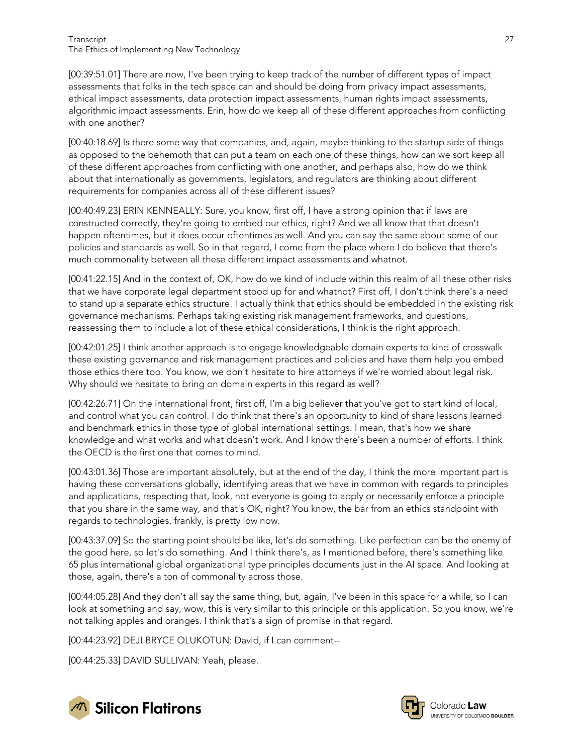[00:39:51.01] There are now, I've been trying to keep track of the number of different types of impact assessments that folks in the tech space can and should be doing from privacy impact assessments, ethical impact assessments, data protection impact assessments, human rights impact assessments, algorithmic impact assessments. Erin, how do we keep all of these different approaches from conflicting with one another?

[00:40:18.69] Is there some way that companies, and, again, maybe thinking to the startup side of things as opposed to the behemoth that can put a team on each one of these things, how can we sort keep all of these different approaches from conflicting with one another, and perhaps also, how do we think about that internationally as governments, legislators, and regulators are thinking about different requirements for companies across all of these different issues?

[00:40:49.23] ERIN KENNEALLY: Sure, you know, first off, I have a strong opinion that if laws are constructed correctly, they're going to embed our ethics, right? And we all know that that doesn't happen oftentimes, but it does occur oftentimes as well. And you can say the same about some of our policies and standards as well. So in that regard, I come from the place where I do believe that there's much commonality between all these different impact assessments and whatnot.

[00:41:22.15] And in the context of, OK, how do we kind of include within this realm of all these other risks that we have corporate legal department stood up for and whatnot? First off, I don't think there's a need to stand up a separate ethics structure. I actually think that ethics should be embedded in the existing risk governance mechanisms. Perhaps taking existing risk management frameworks, and questions, reassessing them to include a lot of these ethical considerations, I think is the right approach.

[00:42:01.25] I think another approach is to engage knowledgeable domain experts to kind of crosswalk these existing governance and risk management practices and policies and have them help you embed those ethics there too. You know, we don't hesitate to hire attorneys if we're worried about legal risk. Why should we hesitate to bring on domain experts in this regard as well?

[00:42:26.71] On the international front, first off, I'm a big believer that you've got to start kind of local, and control what you can control. I do think that there's an opportunity to kind of share lessons learned and benchmark ethics in those type of global international settings. I mean, that's how we share knowledge and what works and what doesn't work. And I know there's been a number of efforts. I think the OECD is the first one that comes to mind.

[00:43:01.36] Those are important absolutely, but at the end of the day, I think the more important part is having these conversations globally, identifying areas that we have in common with regards to principles and applications, respecting that, look, not everyone is going to apply or necessarily enforce a principle that you share in the same way, and that's OK, right? You know, the bar from an ethics standpoint with regards to technologies, frankly, is pretty low now.

[00:43:37.09] So the starting point should be like, let's do something. Like perfection can be the enemy of the good here, so let's do something. And I think there's, as I mentioned before, there's something like 65 plus international global organizational type principles documents just in the AI space. And looking at those, again, there's a ton of commonality across those.

[00:44:05.28] And they don't all say the same thing, but, again, I've been in this space for a while, so I can look at something and say, wow, this is very similar to this principle or this application. So you know, we're not talking apples and oranges. I think that's a sign of promise in that regard.

[00:44:23.92] DEJI BRYCE OLUKOTUN: David, if I can comment--

[00:44:25.33] DAVID SULLIVAN: Yeah, please.





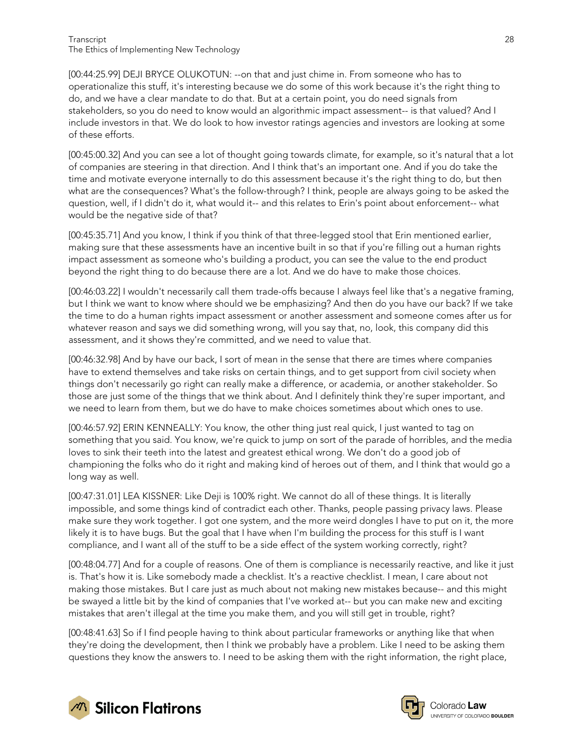#### Transcript 28 The Ethics of Implementing New Technology

[00:44:25.99] DEJI BRYCE OLUKOTUN: --on that and just chime in. From someone who has to operationalize this stuff, it's interesting because we do some of this work because it's the right thing to do, and we have a clear mandate to do that. But at a certain point, you do need signals from stakeholders, so you do need to know would an algorithmic impact assessment-- is that valued? And I include investors in that. We do look to how investor ratings agencies and investors are looking at some of these efforts.

[00:45:00.32] And you can see a lot of thought going towards climate, for example, so it's natural that a lot of companies are steering in that direction. And I think that's an important one. And if you do take the time and motivate everyone internally to do this assessment because it's the right thing to do, but then what are the consequences? What's the follow-through? I think, people are always going to be asked the question, well, if I didn't do it, what would it-- and this relates to Erin's point about enforcement-- what would be the negative side of that?

[00:45:35.71] And you know, I think if you think of that three-legged stool that Erin mentioned earlier, making sure that these assessments have an incentive built in so that if you're filling out a human rights impact assessment as someone who's building a product, you can see the value to the end product beyond the right thing to do because there are a lot. And we do have to make those choices.

[00:46:03.22] I wouldn't necessarily call them trade-offs because I always feel like that's a negative framing, but I think we want to know where should we be emphasizing? And then do you have our back? If we take the time to do a human rights impact assessment or another assessment and someone comes after us for whatever reason and says we did something wrong, will you say that, no, look, this company did this assessment, and it shows they're committed, and we need to value that.

[00:46:32.98] And by have our back, I sort of mean in the sense that there are times where companies have to extend themselves and take risks on certain things, and to get support from civil society when things don't necessarily go right can really make a difference, or academia, or another stakeholder. So those are just some of the things that we think about. And I definitely think they're super important, and we need to learn from them, but we do have to make choices sometimes about which ones to use.

[00:46:57.92] ERIN KENNEALLY: You know, the other thing just real quick, I just wanted to tag on something that you said. You know, we're quick to jump on sort of the parade of horribles, and the media loves to sink their teeth into the latest and greatest ethical wrong. We don't do a good job of championing the folks who do it right and making kind of heroes out of them, and I think that would go a long way as well.

[00:47:31.01] LEA KISSNER: Like Deji is 100% right. We cannot do all of these things. It is literally impossible, and some things kind of contradict each other. Thanks, people passing privacy laws. Please make sure they work together. I got one system, and the more weird dongles I have to put on it, the more likely it is to have bugs. But the goal that I have when I'm building the process for this stuff is I want compliance, and I want all of the stuff to be a side effect of the system working correctly, right?

[00:48:04.77] And for a couple of reasons. One of them is compliance is necessarily reactive, and like it just is. That's how it is. Like somebody made a checklist. It's a reactive checklist. I mean, I care about not making those mistakes. But I care just as much about not making new mistakes because-- and this might be swayed a little bit by the kind of companies that I've worked at-- but you can make new and exciting mistakes that aren't illegal at the time you make them, and you will still get in trouble, right?

[00:48:41.63] So if I find people having to think about particular frameworks or anything like that when they're doing the development, then I think we probably have a problem. Like I need to be asking them questions they know the answers to. I need to be asking them with the right information, the right place,



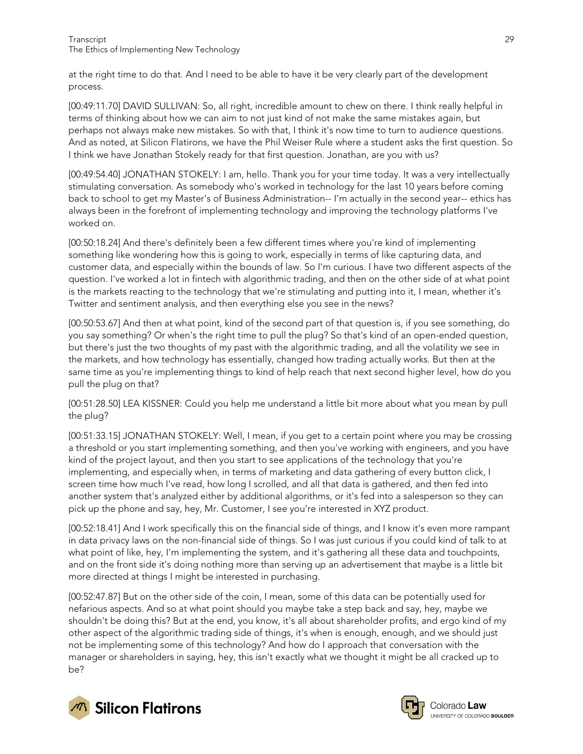at the right time to do that. And I need to be able to have it be very clearly part of the development process.

[00:49:11.70] DAVID SULLIVAN: So, all right, incredible amount to chew on there. I think really helpful in terms of thinking about how we can aim to not just kind of not make the same mistakes again, but perhaps not always make new mistakes. So with that, I think it's now time to turn to audience questions. And as noted, at Silicon Flatirons, we have the Phil Weiser Rule where a student asks the first question. So I think we have Jonathan Stokely ready for that first question. Jonathan, are you with us?

[00:49:54.40] JONATHAN STOKELY: I am, hello. Thank you for your time today. It was a very intellectually stimulating conversation. As somebody who's worked in technology for the last 10 years before coming back to school to get my Master's of Business Administration-- I'm actually in the second year-- ethics has always been in the forefront of implementing technology and improving the technology platforms I've worked on.

[00:50:18.24] And there's definitely been a few different times where you're kind of implementing something like wondering how this is going to work, especially in terms of like capturing data, and customer data, and especially within the bounds of law. So I'm curious. I have two different aspects of the question. I've worked a lot in fintech with algorithmic trading, and then on the other side of at what point is the markets reacting to the technology that we're stimulating and putting into it, I mean, whether it's Twitter and sentiment analysis, and then everything else you see in the news?

[00:50:53.67] And then at what point, kind of the second part of that question is, if you see something, do you say something? Or when's the right time to pull the plug? So that's kind of an open-ended question, but there's just the two thoughts of my past with the algorithmic trading, and all the volatility we see in the markets, and how technology has essentially, changed how trading actually works. But then at the same time as you're implementing things to kind of help reach that next second higher level, how do you pull the plug on that?

[00:51:28.50] LEA KISSNER: Could you help me understand a little bit more about what you mean by pull the plug?

[00:51:33.15] JONATHAN STOKELY: Well, I mean, if you get to a certain point where you may be crossing a threshold or you start implementing something, and then you've working with engineers, and you have kind of the project layout, and then you start to see applications of the technology that you're implementing, and especially when, in terms of marketing and data gathering of every button click, I screen time how much I've read, how long I scrolled, and all that data is gathered, and then fed into another system that's analyzed either by additional algorithms, or it's fed into a salesperson so they can pick up the phone and say, hey, Mr. Customer, I see you're interested in XYZ product.

[00:52:18.41] And I work specifically this on the financial side of things, and I know it's even more rampant in data privacy laws on the non-financial side of things. So I was just curious if you could kind of talk to at what point of like, hey, I'm implementing the system, and it's gathering all these data and touchpoints, and on the front side it's doing nothing more than serving up an advertisement that maybe is a little bit more directed at things I might be interested in purchasing.

[00:52:47.87] But on the other side of the coin, I mean, some of this data can be potentially used for nefarious aspects. And so at what point should you maybe take a step back and say, hey, maybe we shouldn't be doing this? But at the end, you know, it's all about shareholder profits, and ergo kind of my other aspect of the algorithmic trading side of things, it's when is enough, enough, and we should just not be implementing some of this technology? And how do I approach that conversation with the manager or shareholders in saying, hey, this isn't exactly what we thought it might be all cracked up to be?



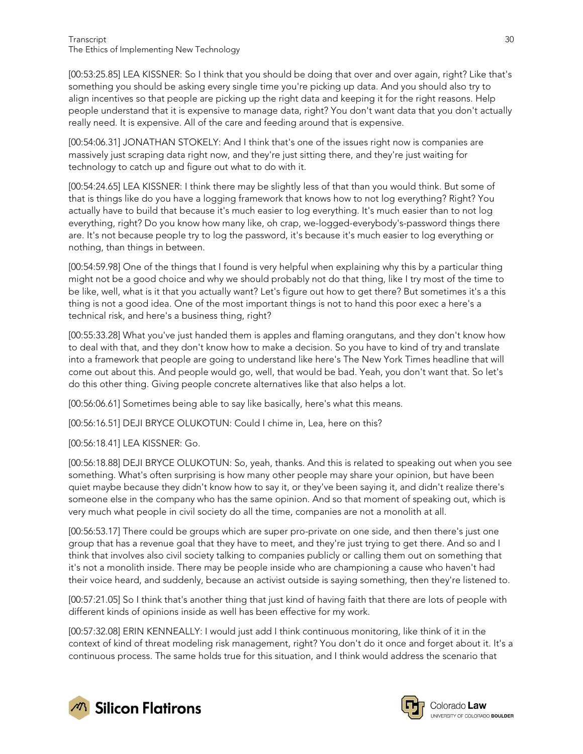[00:53:25.85] LEA KISSNER: So I think that you should be doing that over and over again, right? Like that's something you should be asking every single time you're picking up data. And you should also try to align incentives so that people are picking up the right data and keeping it for the right reasons. Help people understand that it is expensive to manage data, right? You don't want data that you don't actually really need. It is expensive. All of the care and feeding around that is expensive.

[00:54:06.31] JONATHAN STOKELY: And I think that's one of the issues right now is companies are massively just scraping data right now, and they're just sitting there, and they're just waiting for technology to catch up and figure out what to do with it.

[00:54:24.65] LEA KISSNER: I think there may be slightly less of that than you would think. But some of that is things like do you have a logging framework that knows how to not log everything? Right? You actually have to build that because it's much easier to log everything. It's much easier than to not log everything, right? Do you know how many like, oh crap, we-logged-everybody's-password things there are. It's not because people try to log the password, it's because it's much easier to log everything or nothing, than things in between.

[00:54:59.98] One of the things that I found is very helpful when explaining why this by a particular thing might not be a good choice and why we should probably not do that thing, like I try most of the time to be like, well, what is it that you actually want? Let's figure out how to get there? But sometimes it's a this thing is not a good idea. One of the most important things is not to hand this poor exec a here's a technical risk, and here's a business thing, right?

[00:55:33.28] What you've just handed them is apples and flaming orangutans, and they don't know how to deal with that, and they don't know how to make a decision. So you have to kind of try and translate into a framework that people are going to understand like here's The New York Times headline that will come out about this. And people would go, well, that would be bad. Yeah, you don't want that. So let's do this other thing. Giving people concrete alternatives like that also helps a lot.

[00:56:06.61] Sometimes being able to say like basically, here's what this means.

[00:56:16.51] DEJI BRYCE OLUKOTUN: Could I chime in, Lea, here on this?

[00:56:18.41] LEA KISSNER: Go.

[00:56:18.88] DEJI BRYCE OLUKOTUN: So, yeah, thanks. And this is related to speaking out when you see something. What's often surprising is how many other people may share your opinion, but have been quiet maybe because they didn't know how to say it, or they've been saying it, and didn't realize there's someone else in the company who has the same opinion. And so that moment of speaking out, which is very much what people in civil society do all the time, companies are not a monolith at all.

[00:56:53.17] There could be groups which are super pro-private on one side, and then there's just one group that has a revenue goal that they have to meet, and they're just trying to get there. And so and I think that involves also civil society talking to companies publicly or calling them out on something that it's not a monolith inside. There may be people inside who are championing a cause who haven't had their voice heard, and suddenly, because an activist outside is saying something, then they're listened to.

[00:57:21.05] So I think that's another thing that just kind of having faith that there are lots of people with different kinds of opinions inside as well has been effective for my work.

[00:57:32.08] ERIN KENNEALLY: I would just add I think continuous monitoring, like think of it in the context of kind of threat modeling risk management, right? You don't do it once and forget about it. It's a continuous process. The same holds true for this situation, and I think would address the scenario that



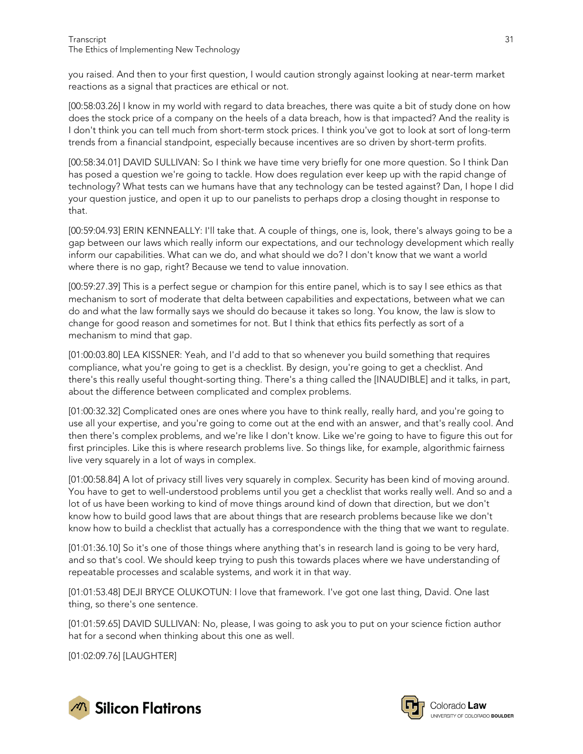you raised. And then to your first question, I would caution strongly against looking at near-term market reactions as a signal that practices are ethical or not.

[00:58:03.26] I know in my world with regard to data breaches, there was quite a bit of study done on how does the stock price of a company on the heels of a data breach, how is that impacted? And the reality is I don't think you can tell much from short-term stock prices. I think you've got to look at sort of long-term trends from a financial standpoint, especially because incentives are so driven by short-term profits.

[00:58:34.01] DAVID SULLIVAN: So I think we have time very briefly for one more question. So I think Dan has posed a question we're going to tackle. How does regulation ever keep up with the rapid change of technology? What tests can we humans have that any technology can be tested against? Dan, I hope I did your question justice, and open it up to our panelists to perhaps drop a closing thought in response to that.

[00:59:04.93] ERIN KENNEALLY: I'll take that. A couple of things, one is, look, there's always going to be a gap between our laws which really inform our expectations, and our technology development which really inform our capabilities. What can we do, and what should we do? I don't know that we want a world where there is no gap, right? Because we tend to value innovation.

[00:59:27.39] This is a perfect segue or champion for this entire panel, which is to say I see ethics as that mechanism to sort of moderate that delta between capabilities and expectations, between what we can do and what the law formally says we should do because it takes so long. You know, the law is slow to change for good reason and sometimes for not. But I think that ethics fits perfectly as sort of a mechanism to mind that gap.

[01:00:03.80] LEA KISSNER: Yeah, and I'd add to that so whenever you build something that requires compliance, what you're going to get is a checklist. By design, you're going to get a checklist. And there's this really useful thought-sorting thing. There's a thing called the [INAUDIBLE] and it talks, in part, about the difference between complicated and complex problems.

[01:00:32.32] Complicated ones are ones where you have to think really, really hard, and you're going to use all your expertise, and you're going to come out at the end with an answer, and that's really cool. And then there's complex problems, and we're like I don't know. Like we're going to have to figure this out for first principles. Like this is where research problems live. So things like, for example, algorithmic fairness live very squarely in a lot of ways in complex.

[01:00:58.84] A lot of privacy still lives very squarely in complex. Security has been kind of moving around. You have to get to well-understood problems until you get a checklist that works really well. And so and a lot of us have been working to kind of move things around kind of down that direction, but we don't know how to build good laws that are about things that are research problems because like we don't know how to build a checklist that actually has a correspondence with the thing that we want to regulate.

[01:01:36.10] So it's one of those things where anything that's in research land is going to be very hard, and so that's cool. We should keep trying to push this towards places where we have understanding of repeatable processes and scalable systems, and work it in that way.

[01:01:53.48] DEJI BRYCE OLUKOTUN: I love that framework. I've got one last thing, David. One last thing, so there's one sentence.

[01:01:59.65] DAVID SULLIVAN: No, please, I was going to ask you to put on your science fiction author hat for a second when thinking about this one as well.

[01:02:09.76] [LAUGHTER]



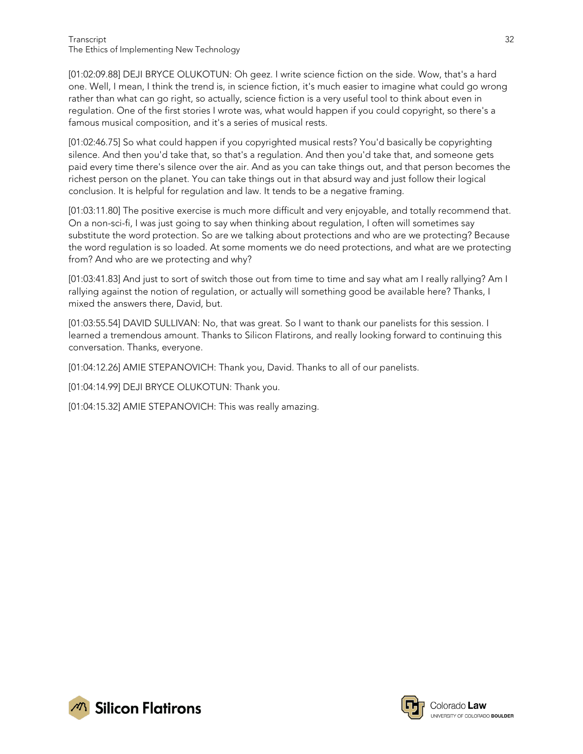[01:02:09.88] DEJI BRYCE OLUKOTUN: Oh geez. I write science fiction on the side. Wow, that's a hard one. Well, I mean, I think the trend is, in science fiction, it's much easier to imagine what could go wrong rather than what can go right, so actually, science fiction is a very useful tool to think about even in regulation. One of the first stories I wrote was, what would happen if you could copyright, so there's a famous musical composition, and it's a series of musical rests.

[01:02:46.75] So what could happen if you copyrighted musical rests? You'd basically be copyrighting silence. And then you'd take that, so that's a regulation. And then you'd take that, and someone gets paid every time there's silence over the air. And as you can take things out, and that person becomes the richest person on the planet. You can take things out in that absurd way and just follow their logical conclusion. It is helpful for regulation and law. It tends to be a negative framing.

[01:03:11.80] The positive exercise is much more difficult and very enjoyable, and totally recommend that. On a non-sci-fi, I was just going to say when thinking about regulation, I often will sometimes say substitute the word protection. So are we talking about protections and who are we protecting? Because the word regulation is so loaded. At some moments we do need protections, and what are we protecting from? And who are we protecting and why?

[01:03:41.83] And just to sort of switch those out from time to time and say what am I really rallying? Am I rallying against the notion of regulation, or actually will something good be available here? Thanks, I mixed the answers there, David, but.

[01:03:55.54] DAVID SULLIVAN: No, that was great. So I want to thank our panelists for this session. I learned a tremendous amount. Thanks to Silicon Flatirons, and really looking forward to continuing this conversation. Thanks, everyone.

[01:04:12.26] AMIE STEPANOVICH: Thank you, David. Thanks to all of our panelists.

[01:04:14.99] DEJI BRYCE OLUKOTUN: Thank you.

[01:04:15.32] AMIE STEPANOVICH: This was really amazing.



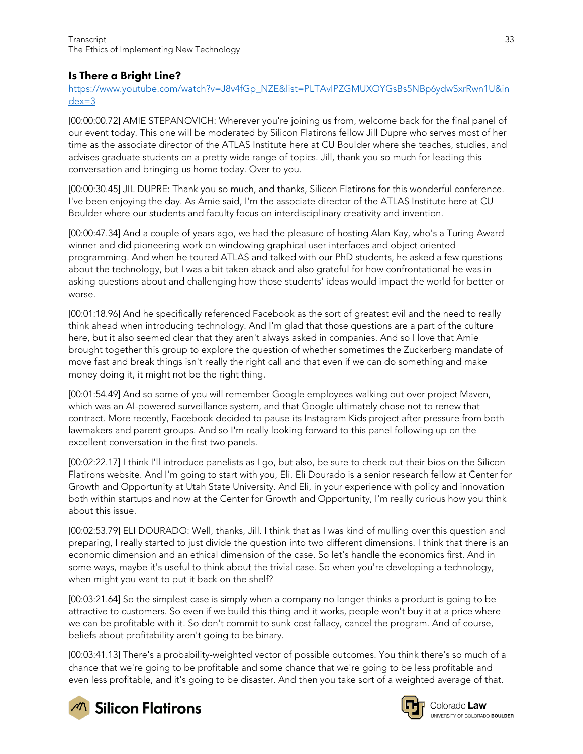#### <span id="page-32-0"></span>Is There a Bright Line?

[https://www.youtube.com/watch?v=J8v4fGp\\_NZE&list=PLTAvIPZGMUXOYGsBs5NBp6ydwSxrRwn1U&in](https://www.youtube.com/watch?v=J8v4fGp_NZE&list=PLTAvIPZGMUXOYGsBs5NBp6ydwSxrRwn1U&index=3) [dex=3](https://www.youtube.com/watch?v=J8v4fGp_NZE&list=PLTAvIPZGMUXOYGsBs5NBp6ydwSxrRwn1U&index=3)

[00:00:00.72] AMIE STEPANOVICH: Wherever you're joining us from, welcome back for the final panel of our event today. This one will be moderated by Silicon Flatirons fellow Jill Dupre who serves most of her time as the associate director of the ATLAS Institute here at CU Boulder where she teaches, studies, and advises graduate students on a pretty wide range of topics. Jill, thank you so much for leading this conversation and bringing us home today. Over to you.

[00:00:30.45] JIL DUPRE: Thank you so much, and thanks, Silicon Flatirons for this wonderful conference. I've been enjoying the day. As Amie said, I'm the associate director of the ATLAS Institute here at CU Boulder where our students and faculty focus on interdisciplinary creativity and invention.

[00:00:47.34] And a couple of years ago, we had the pleasure of hosting Alan Kay, who's a Turing Award winner and did pioneering work on windowing graphical user interfaces and object oriented programming. And when he toured ATLAS and talked with our PhD students, he asked a few questions about the technology, but I was a bit taken aback and also grateful for how confrontational he was in asking questions about and challenging how those students' ideas would impact the world for better or worse.

[00:01:18.96] And he specifically referenced Facebook as the sort of greatest evil and the need to really think ahead when introducing technology. And I'm glad that those questions are a part of the culture here, but it also seemed clear that they aren't always asked in companies. And so I love that Amie brought together this group to explore the question of whether sometimes the Zuckerberg mandate of move fast and break things isn't really the right call and that even if we can do something and make money doing it, it might not be the right thing.

[00:01:54.49] And so some of you will remember Google employees walking out over project Maven, which was an AI-powered surveillance system, and that Google ultimately chose not to renew that contract. More recently, Facebook decided to pause its Instagram Kids project after pressure from both lawmakers and parent groups. And so I'm really looking forward to this panel following up on the excellent conversation in the first two panels.

[00:02:22.17] I think I'll introduce panelists as I go, but also, be sure to check out their bios on the Silicon Flatirons website. And I'm going to start with you, Eli. Eli Dourado is a senior research fellow at Center for Growth and Opportunity at Utah State University. And Eli, in your experience with policy and innovation both within startups and now at the Center for Growth and Opportunity, I'm really curious how you think about this issue.

[00:02:53.79] ELI DOURADO: Well, thanks, Jill. I think that as I was kind of mulling over this question and preparing, I really started to just divide the question into two different dimensions. I think that there is an economic dimension and an ethical dimension of the case. So let's handle the economics first. And in some ways, maybe it's useful to think about the trivial case. So when you're developing a technology, when might you want to put it back on the shelf?

[00:03:21.64] So the simplest case is simply when a company no longer thinks a product is going to be attractive to customers. So even if we build this thing and it works, people won't buy it at a price where we can be profitable with it. So don't commit to sunk cost fallacy, cancel the program. And of course, beliefs about profitability aren't going to be binary.

[00:03:41.13] There's a probability-weighted vector of possible outcomes. You think there's so much of a chance that we're going to be profitable and some chance that we're going to be less profitable and even less profitable, and it's going to be disaster. And then you take sort of a weighted average of that.



 $\mathscr{M}$  Silicon Flatirons



Colorado Law **UNIVERSITY OF COLOBADO BOULDER**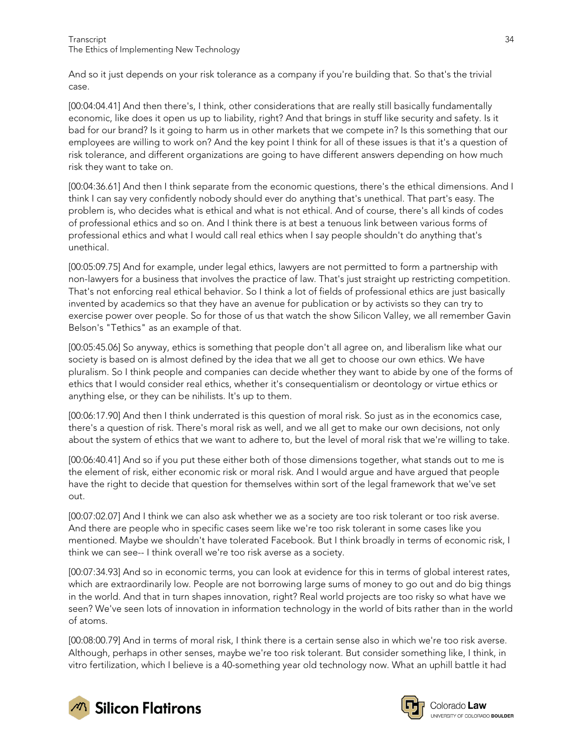And so it just depends on your risk tolerance as a company if you're building that. So that's the trivial case.

[00:04:04.41] And then there's, I think, other considerations that are really still basically fundamentally economic, like does it open us up to liability, right? And that brings in stuff like security and safety. Is it bad for our brand? Is it going to harm us in other markets that we compete in? Is this something that our employees are willing to work on? And the key point I think for all of these issues is that it's a question of risk tolerance, and different organizations are going to have different answers depending on how much risk they want to take on.

[00:04:36.61] And then I think separate from the economic questions, there's the ethical dimensions. And I think I can say very confidently nobody should ever do anything that's unethical. That part's easy. The problem is, who decides what is ethical and what is not ethical. And of course, there's all kinds of codes of professional ethics and so on. And I think there is at best a tenuous link between various forms of professional ethics and what I would call real ethics when I say people shouldn't do anything that's unethical.

[00:05:09.75] And for example, under legal ethics, lawyers are not permitted to form a partnership with non-lawyers for a business that involves the practice of law. That's just straight up restricting competition. That's not enforcing real ethical behavior. So I think a lot of fields of professional ethics are just basically invented by academics so that they have an avenue for publication or by activists so they can try to exercise power over people. So for those of us that watch the show Silicon Valley, we all remember Gavin Belson's "Tethics" as an example of that.

[00:05:45.06] So anyway, ethics is something that people don't all agree on, and liberalism like what our society is based on is almost defined by the idea that we all get to choose our own ethics. We have pluralism. So I think people and companies can decide whether they want to abide by one of the forms of ethics that I would consider real ethics, whether it's consequentialism or deontology or virtue ethics or anything else, or they can be nihilists. It's up to them.

[00:06:17.90] And then I think underrated is this question of moral risk. So just as in the economics case, there's a question of risk. There's moral risk as well, and we all get to make our own decisions, not only about the system of ethics that we want to adhere to, but the level of moral risk that we're willing to take.

[00:06:40.41] And so if you put these either both of those dimensions together, what stands out to me is the element of risk, either economic risk or moral risk. And I would argue and have argued that people have the right to decide that question for themselves within sort of the legal framework that we've set out.

[00:07:02.07] And I think we can also ask whether we as a society are too risk tolerant or too risk averse. And there are people who in specific cases seem like we're too risk tolerant in some cases like you mentioned. Maybe we shouldn't have tolerated Facebook. But I think broadly in terms of economic risk, I think we can see-- I think overall we're too risk averse as a society.

[00:07:34.93] And so in economic terms, you can look at evidence for this in terms of global interest rates, which are extraordinarily low. People are not borrowing large sums of money to go out and do big things in the world. And that in turn shapes innovation, right? Real world projects are too risky so what have we seen? We've seen lots of innovation in information technology in the world of bits rather than in the world of atoms.

[00:08:00.79] And in terms of moral risk, I think there is a certain sense also in which we're too risk averse. Although, perhaps in other senses, maybe we're too risk tolerant. But consider something like, I think, in vitro fertilization, which I believe is a 40-something year old technology now. What an uphill battle it had





Colorado **Law** UNIVERSITY OF COLORADO BOULDER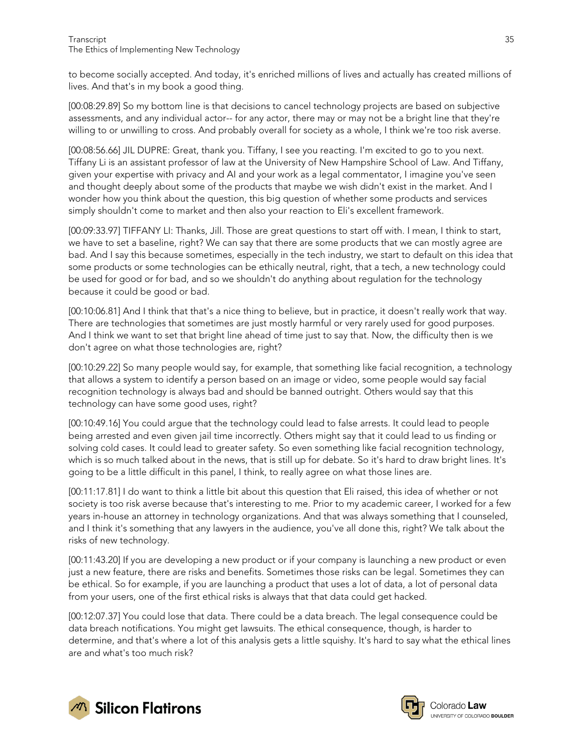to become socially accepted. And today, it's enriched millions of lives and actually has created millions of lives. And that's in my book a good thing.

[00:08:29.89] So my bottom line is that decisions to cancel technology projects are based on subjective assessments, and any individual actor-- for any actor, there may or may not be a bright line that they're willing to or unwilling to cross. And probably overall for society as a whole, I think we're too risk averse.

[00:08:56.66] JIL DUPRE: Great, thank you. Tiffany, I see you reacting. I'm excited to go to you next. Tiffany Li is an assistant professor of law at the University of New Hampshire School of Law. And Tiffany, given your expertise with privacy and AI and your work as a legal commentator, I imagine you've seen and thought deeply about some of the products that maybe we wish didn't exist in the market. And I wonder how you think about the question, this big question of whether some products and services simply shouldn't come to market and then also your reaction to Eli's excellent framework.

[00:09:33.97] TIFFANY LI: Thanks, Jill. Those are great questions to start off with. I mean, I think to start, we have to set a baseline, right? We can say that there are some products that we can mostly agree are bad. And I say this because sometimes, especially in the tech industry, we start to default on this idea that some products or some technologies can be ethically neutral, right, that a tech, a new technology could be used for good or for bad, and so we shouldn't do anything about regulation for the technology because it could be good or bad.

[00:10:06.81] And I think that that's a nice thing to believe, but in practice, it doesn't really work that way. There are technologies that sometimes are just mostly harmful or very rarely used for good purposes. And I think we want to set that bright line ahead of time just to say that. Now, the difficulty then is we don't agree on what those technologies are, right?

[00:10:29.22] So many people would say, for example, that something like facial recognition, a technology that allows a system to identify a person based on an image or video, some people would say facial recognition technology is always bad and should be banned outright. Others would say that this technology can have some good uses, right?

[00:10:49.16] You could argue that the technology could lead to false arrests. It could lead to people being arrested and even given jail time incorrectly. Others might say that it could lead to us finding or solving cold cases. It could lead to greater safety. So even something like facial recognition technology, which is so much talked about in the news, that is still up for debate. So it's hard to draw bright lines. It's going to be a little difficult in this panel, I think, to really agree on what those lines are.

[00:11:17.81] I do want to think a little bit about this question that Eli raised, this idea of whether or not society is too risk averse because that's interesting to me. Prior to my academic career, I worked for a few years in-house an attorney in technology organizations. And that was always something that I counseled, and I think it's something that any lawyers in the audience, you've all done this, right? We talk about the risks of new technology.

[00:11:43.20] If you are developing a new product or if your company is launching a new product or even just a new feature, there are risks and benefits. Sometimes those risks can be legal. Sometimes they can be ethical. So for example, if you are launching a product that uses a lot of data, a lot of personal data from your users, one of the first ethical risks is always that that data could get hacked.

[00:12:07.37] You could lose that data. There could be a data breach. The legal consequence could be data breach notifications. You might get lawsuits. The ethical consequence, though, is harder to determine, and that's where a lot of this analysis gets a little squishy. It's hard to say what the ethical lines are and what's too much risk?



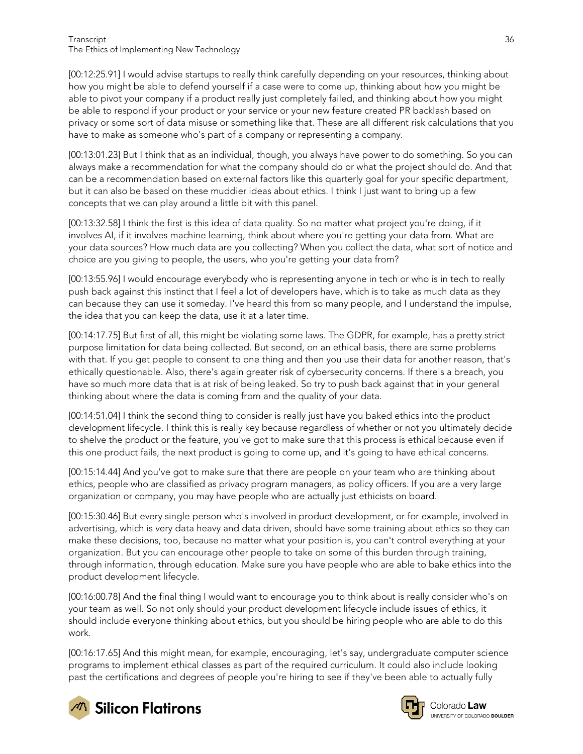[00:12:25.91] I would advise startups to really think carefully depending on your resources, thinking about how you might be able to defend yourself if a case were to come up, thinking about how you might be able to pivot your company if a product really just completely failed, and thinking about how you might be able to respond if your product or your service or your new feature created PR backlash based on privacy or some sort of data misuse or something like that. These are all different risk calculations that you have to make as someone who's part of a company or representing a company.

[00:13:01.23] But I think that as an individual, though, you always have power to do something. So you can always make a recommendation for what the company should do or what the project should do. And that can be a recommendation based on external factors like this quarterly goal for your specific department, but it can also be based on these muddier ideas about ethics. I think I just want to bring up a few concepts that we can play around a little bit with this panel.

[00:13:32.58] I think the first is this idea of data quality. So no matter what project you're doing, if it involves AI, if it involves machine learning, think about where you're getting your data from. What are your data sources? How much data are you collecting? When you collect the data, what sort of notice and choice are you giving to people, the users, who you're getting your data from?

[00:13:55.96] I would encourage everybody who is representing anyone in tech or who is in tech to really push back against this instinct that I feel a lot of developers have, which is to take as much data as they can because they can use it someday. I've heard this from so many people, and I understand the impulse, the idea that you can keep the data, use it at a later time.

[00:14:17.75] But first of all, this might be violating some laws. The GDPR, for example, has a pretty strict purpose limitation for data being collected. But second, on an ethical basis, there are some problems with that. If you get people to consent to one thing and then you use their data for another reason, that's ethically questionable. Also, there's again greater risk of cybersecurity concerns. If there's a breach, you have so much more data that is at risk of being leaked. So try to push back against that in your general thinking about where the data is coming from and the quality of your data.

[00:14:51.04] I think the second thing to consider is really just have you baked ethics into the product development lifecycle. I think this is really key because regardless of whether or not you ultimately decide to shelve the product or the feature, you've got to make sure that this process is ethical because even if this one product fails, the next product is going to come up, and it's going to have ethical concerns.

[00:15:14.44] And you've got to make sure that there are people on your team who are thinking about ethics, people who are classified as privacy program managers, as policy officers. If you are a very large organization or company, you may have people who are actually just ethicists on board.

[00:15:30.46] But every single person who's involved in product development, or for example, involved in advertising, which is very data heavy and data driven, should have some training about ethics so they can make these decisions, too, because no matter what your position is, you can't control everything at your organization. But you can encourage other people to take on some of this burden through training, through information, through education. Make sure you have people who are able to bake ethics into the product development lifecycle.

[00:16:00.78] And the final thing I would want to encourage you to think about is really consider who's on your team as well. So not only should your product development lifecycle include issues of ethics, it should include everyone thinking about ethics, but you should be hiring people who are able to do this work.

[00:16:17.65] And this might mean, for example, encouraging, let's say, undergraduate computer science programs to implement ethical classes as part of the required curriculum. It could also include looking past the certifications and degrees of people you're hiring to see if they've been able to actually fully



**M** Silicon Flatirons



Colorado Law **UNIVERSITY OF COLOBADO BOULDER**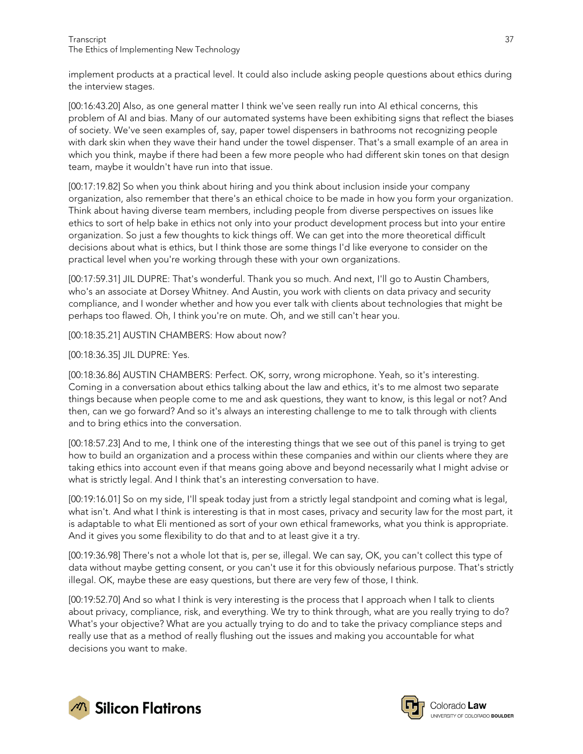implement products at a practical level. It could also include asking people questions about ethics during the interview stages.

[00:16:43.20] Also, as one general matter I think we've seen really run into AI ethical concerns, this problem of AI and bias. Many of our automated systems have been exhibiting signs that reflect the biases of society. We've seen examples of, say, paper towel dispensers in bathrooms not recognizing people with dark skin when they wave their hand under the towel dispenser. That's a small example of an area in which you think, maybe if there had been a few more people who had different skin tones on that design team, maybe it wouldn't have run into that issue.

[00:17:19.82] So when you think about hiring and you think about inclusion inside your company organization, also remember that there's an ethical choice to be made in how you form your organization. Think about having diverse team members, including people from diverse perspectives on issues like ethics to sort of help bake in ethics not only into your product development process but into your entire organization. So just a few thoughts to kick things off. We can get into the more theoretical difficult decisions about what is ethics, but I think those are some things I'd like everyone to consider on the practical level when you're working through these with your own organizations.

[00:17:59.31] JIL DUPRE: That's wonderful. Thank you so much. And next, I'll go to Austin Chambers, who's an associate at Dorsey Whitney. And Austin, you work with clients on data privacy and security compliance, and I wonder whether and how you ever talk with clients about technologies that might be perhaps too flawed. Oh, I think you're on mute. Oh, and we still can't hear you.

[00:18:35.21] AUSTIN CHAMBERS: How about now?

[00:18:36.35] JIL DUPRE: Yes.

[00:18:36.86] AUSTIN CHAMBERS: Perfect. OK, sorry, wrong microphone. Yeah, so it's interesting. Coming in a conversation about ethics talking about the law and ethics, it's to me almost two separate things because when people come to me and ask questions, they want to know, is this legal or not? And then, can we go forward? And so it's always an interesting challenge to me to talk through with clients and to bring ethics into the conversation.

[00:18:57.23] And to me, I think one of the interesting things that we see out of this panel is trying to get how to build an organization and a process within these companies and within our clients where they are taking ethics into account even if that means going above and beyond necessarily what I might advise or what is strictly legal. And I think that's an interesting conversation to have.

[00:19:16.01] So on my side, I'll speak today just from a strictly legal standpoint and coming what is legal, what isn't. And what I think is interesting is that in most cases, privacy and security law for the most part, it is adaptable to what Eli mentioned as sort of your own ethical frameworks, what you think is appropriate. And it gives you some flexibility to do that and to at least give it a try.

[00:19:36.98] There's not a whole lot that is, per se, illegal. We can say, OK, you can't collect this type of data without maybe getting consent, or you can't use it for this obviously nefarious purpose. That's strictly illegal. OK, maybe these are easy questions, but there are very few of those, I think.

[00:19:52.70] And so what I think is very interesting is the process that I approach when I talk to clients about privacy, compliance, risk, and everything. We try to think through, what are you really trying to do? What's your objective? What are you actually trying to do and to take the privacy compliance steps and really use that as a method of really flushing out the issues and making you accountable for what decisions you want to make.



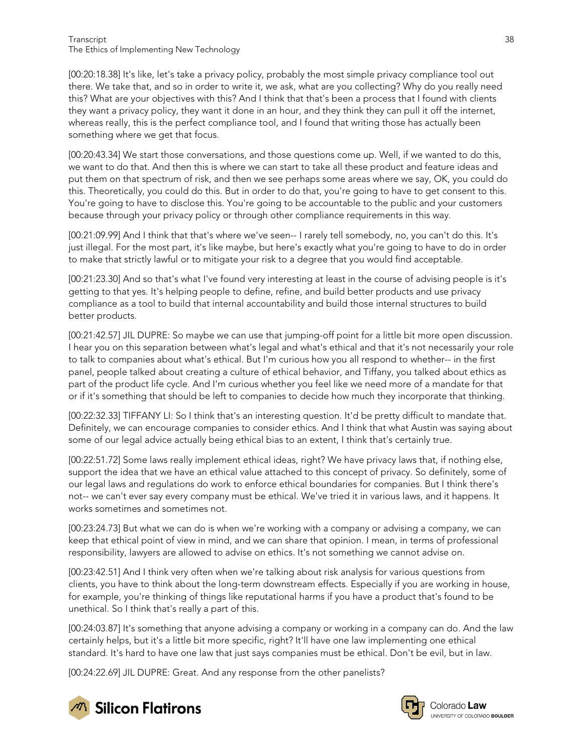#### Transcript 38 The Ethics of Implementing New Technology

[00:20:18.38] It's like, let's take a privacy policy, probably the most simple privacy compliance tool out there. We take that, and so in order to write it, we ask, what are you collecting? Why do you really need this? What are your objectives with this? And I think that that's been a process that I found with clients they want a privacy policy, they want it done in an hour, and they think they can pull it off the internet, whereas really, this is the perfect compliance tool, and I found that writing those has actually been something where we get that focus.

[00:20:43.34] We start those conversations, and those questions come up. Well, if we wanted to do this, we want to do that. And then this is where we can start to take all these product and feature ideas and put them on that spectrum of risk, and then we see perhaps some areas where we say, OK, you could do this. Theoretically, you could do this. But in order to do that, you're going to have to get consent to this. You're going to have to disclose this. You're going to be accountable to the public and your customers because through your privacy policy or through other compliance requirements in this way.

[00:21:09.99] And I think that that's where we've seen-- I rarely tell somebody, no, you can't do this. It's just illegal. For the most part, it's like maybe, but here's exactly what you're going to have to do in order to make that strictly lawful or to mitigate your risk to a degree that you would find acceptable.

[00:21:23.30] And so that's what I've found very interesting at least in the course of advising people is it's getting to that yes. It's helping people to define, refine, and build better products and use privacy compliance as a tool to build that internal accountability and build those internal structures to build better products.

[00:21:42.57] JIL DUPRE: So maybe we can use that jumping-off point for a little bit more open discussion. I hear you on this separation between what's legal and what's ethical and that it's not necessarily your role to talk to companies about what's ethical. But I'm curious how you all respond to whether-- in the first panel, people talked about creating a culture of ethical behavior, and Tiffany, you talked about ethics as part of the product life cycle. And I'm curious whether you feel like we need more of a mandate for that or if it's something that should be left to companies to decide how much they incorporate that thinking.

[00:22:32.33] TIFFANY LI: So I think that's an interesting question. It'd be pretty difficult to mandate that. Definitely, we can encourage companies to consider ethics. And I think that what Austin was saying about some of our legal advice actually being ethical bias to an extent, I think that's certainly true.

[00:22:51.72] Some laws really implement ethical ideas, right? We have privacy laws that, if nothing else, support the idea that we have an ethical value attached to this concept of privacy. So definitely, some of our legal laws and regulations do work to enforce ethical boundaries for companies. But I think there's not-- we can't ever say every company must be ethical. We've tried it in various laws, and it happens. It works sometimes and sometimes not.

[00:23:24.73] But what we can do is when we're working with a company or advising a company, we can keep that ethical point of view in mind, and we can share that opinion. I mean, in terms of professional responsibility, lawyers are allowed to advise on ethics. It's not something we cannot advise on.

[00:23:42.51] And I think very often when we're talking about risk analysis for various questions from clients, you have to think about the long-term downstream effects. Especially if you are working in house, for example, you're thinking of things like reputational harms if you have a product that's found to be unethical. So I think that's really a part of this.

[00:24:03.87] It's something that anyone advising a company or working in a company can do. And the law certainly helps, but it's a little bit more specific, right? It'll have one law implementing one ethical standard. It's hard to have one law that just says companies must be ethical. Don't be evil, but in law.

[00:24:22.69] JIL DUPRE: Great. And any response from the other panelists?





Colorado Law UNIVERSITY OF COLORADO BOULDER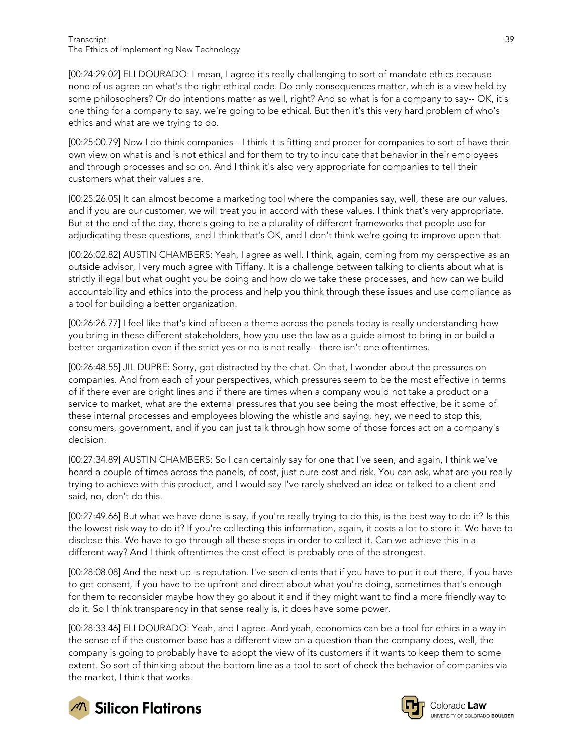[00:24:29.02] ELI DOURADO: I mean, I agree it's really challenging to sort of mandate ethics because none of us agree on what's the right ethical code. Do only consequences matter, which is a view held by some philosophers? Or do intentions matter as well, right? And so what is for a company to say-- OK, it's one thing for a company to say, we're going to be ethical. But then it's this very hard problem of who's ethics and what are we trying to do.

[00:25:00.79] Now I do think companies-- I think it is fitting and proper for companies to sort of have their own view on what is and is not ethical and for them to try to inculcate that behavior in their employees and through processes and so on. And I think it's also very appropriate for companies to tell their customers what their values are.

[00:25:26.05] It can almost become a marketing tool where the companies say, well, these are our values, and if you are our customer, we will treat you in accord with these values. I think that's very appropriate. But at the end of the day, there's going to be a plurality of different frameworks that people use for adjudicating these questions, and I think that's OK, and I don't think we're going to improve upon that.

[00:26:02.82] AUSTIN CHAMBERS: Yeah, I agree as well. I think, again, coming from my perspective as an outside advisor, I very much agree with Tiffany. It is a challenge between talking to clients about what is strictly illegal but what ought you be doing and how do we take these processes, and how can we build accountability and ethics into the process and help you think through these issues and use compliance as a tool for building a better organization.

[00:26:26.77] I feel like that's kind of been a theme across the panels today is really understanding how you bring in these different stakeholders, how you use the law as a guide almost to bring in or build a better organization even if the strict yes or no is not really-- there isn't one oftentimes.

[00:26:48.55] JIL DUPRE: Sorry, got distracted by the chat. On that, I wonder about the pressures on companies. And from each of your perspectives, which pressures seem to be the most effective in terms of if there ever are bright lines and if there are times when a company would not take a product or a service to market, what are the external pressures that you see being the most effective, be it some of these internal processes and employees blowing the whistle and saying, hey, we need to stop this, consumers, government, and if you can just talk through how some of those forces act on a company's decision.

[00:27:34.89] AUSTIN CHAMBERS: So I can certainly say for one that I've seen, and again, I think we've heard a couple of times across the panels, of cost, just pure cost and risk. You can ask, what are you really trying to achieve with this product, and I would say I've rarely shelved an idea or talked to a client and said, no, don't do this.

[00:27:49.66] But what we have done is say, if you're really trying to do this, is the best way to do it? Is this the lowest risk way to do it? If you're collecting this information, again, it costs a lot to store it. We have to disclose this. We have to go through all these steps in order to collect it. Can we achieve this in a different way? And I think oftentimes the cost effect is probably one of the strongest.

[00:28:08.08] And the next up is reputation. I've seen clients that if you have to put it out there, if you have to get consent, if you have to be upfront and direct about what you're doing, sometimes that's enough for them to reconsider maybe how they go about it and if they might want to find a more friendly way to do it. So I think transparency in that sense really is, it does have some power.

[00:28:33.46] ELI DOURADO: Yeah, and I agree. And yeah, economics can be a tool for ethics in a way in the sense of if the customer base has a different view on a question than the company does, well, the company is going to probably have to adopt the view of its customers if it wants to keep them to some extent. So sort of thinking about the bottom line as a tool to sort of check the behavior of companies via the market, I think that works.





Colorado **Law** UNIVERSITY OF COLORADO BOULDER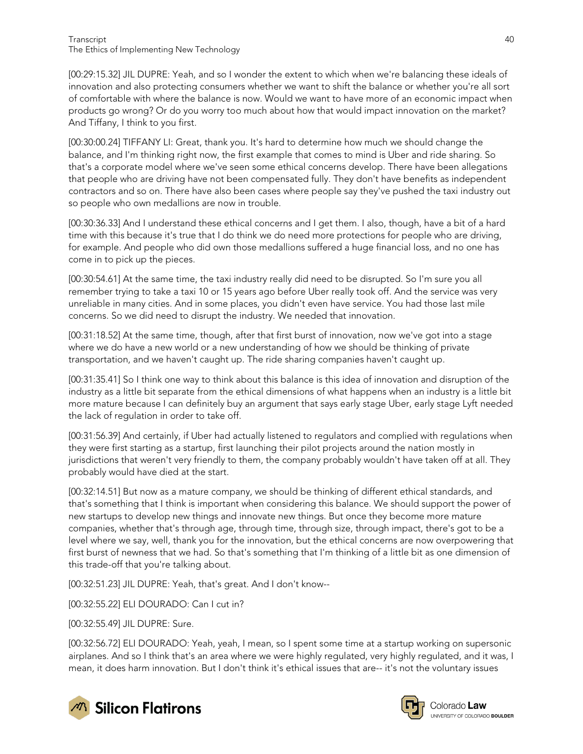[00:29:15.32] JIL DUPRE: Yeah, and so I wonder the extent to which when we're balancing these ideals of innovation and also protecting consumers whether we want to shift the balance or whether you're all sort of comfortable with where the balance is now. Would we want to have more of an economic impact when products go wrong? Or do you worry too much about how that would impact innovation on the market? And Tiffany, I think to you first.

[00:30:00.24] TIFFANY LI: Great, thank you. It's hard to determine how much we should change the balance, and I'm thinking right now, the first example that comes to mind is Uber and ride sharing. So that's a corporate model where we've seen some ethical concerns develop. There have been allegations that people who are driving have not been compensated fully. They don't have benefits as independent contractors and so on. There have also been cases where people say they've pushed the taxi industry out so people who own medallions are now in trouble.

[00:30:36.33] And I understand these ethical concerns and I get them. I also, though, have a bit of a hard time with this because it's true that I do think we do need more protections for people who are driving, for example. And people who did own those medallions suffered a huge financial loss, and no one has come in to pick up the pieces.

[00:30:54.61] At the same time, the taxi industry really did need to be disrupted. So I'm sure you all remember trying to take a taxi 10 or 15 years ago before Uber really took off. And the service was very unreliable in many cities. And in some places, you didn't even have service. You had those last mile concerns. So we did need to disrupt the industry. We needed that innovation.

[00:31:18.52] At the same time, though, after that first burst of innovation, now we've got into a stage where we do have a new world or a new understanding of how we should be thinking of private transportation, and we haven't caught up. The ride sharing companies haven't caught up.

[00:31:35.41] So I think one way to think about this balance is this idea of innovation and disruption of the industry as a little bit separate from the ethical dimensions of what happens when an industry is a little bit more mature because I can definitely buy an argument that says early stage Uber, early stage Lyft needed the lack of regulation in order to take off.

[00:31:56.39] And certainly, if Uber had actually listened to regulators and complied with regulations when they were first starting as a startup, first launching their pilot projects around the nation mostly in jurisdictions that weren't very friendly to them, the company probably wouldn't have taken off at all. They probably would have died at the start.

[00:32:14.51] But now as a mature company, we should be thinking of different ethical standards, and that's something that I think is important when considering this balance. We should support the power of new startups to develop new things and innovate new things. But once they become more mature companies, whether that's through age, through time, through size, through impact, there's got to be a level where we say, well, thank you for the innovation, but the ethical concerns are now overpowering that first burst of newness that we had. So that's something that I'm thinking of a little bit as one dimension of this trade-off that you're talking about.

[00:32:51.23] JIL DUPRE: Yeah, that's great. And I don't know--

[00:32:55.22] ELI DOURADO: Can I cut in?

[00:32:55.49] JIL DUPRE: Sure.

[00:32:56.72] ELI DOURADO: Yeah, yeah, I mean, so I spent some time at a startup working on supersonic airplanes. And so I think that's an area where we were highly regulated, very highly regulated, and it was, I mean, it does harm innovation. But I don't think it's ethical issues that are-- it's not the voluntary issues



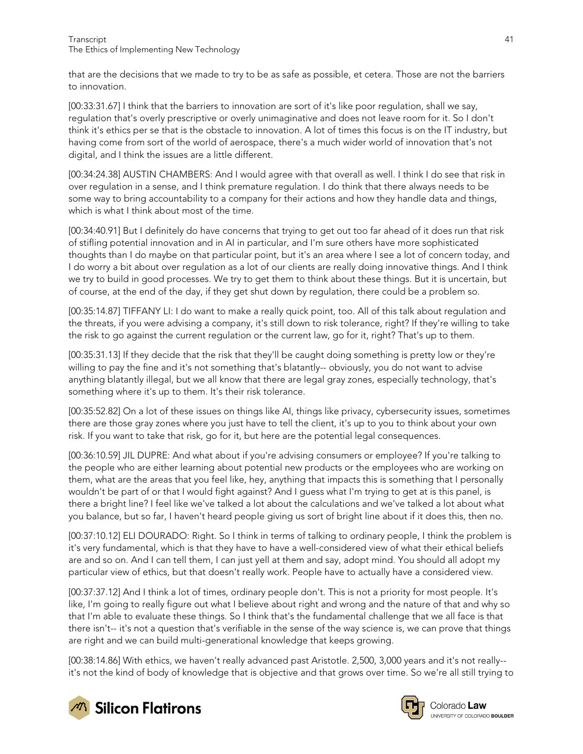that are the decisions that we made to try to be as safe as possible, et cetera. Those are not the barriers to innovation.

[00:33:31.67] I think that the barriers to innovation are sort of it's like poor regulation, shall we say, regulation that's overly prescriptive or overly unimaginative and does not leave room for it. So I don't think it's ethics per se that is the obstacle to innovation. A lot of times this focus is on the IT industry, but having come from sort of the world of aerospace, there's a much wider world of innovation that's not digital, and I think the issues are a little different.

[00:34:24.38] AUSTIN CHAMBERS: And I would agree with that overall as well. I think I do see that risk in over regulation in a sense, and I think premature regulation. I do think that there always needs to be some way to bring accountability to a company for their actions and how they handle data and things, which is what I think about most of the time.

[00:34:40.91] But I definitely do have concerns that trying to get out too far ahead of it does run that risk of stifling potential innovation and in AI in particular, and I'm sure others have more sophisticated thoughts than I do maybe on that particular point, but it's an area where I see a lot of concern today, and I do worry a bit about over regulation as a lot of our clients are really doing innovative things. And I think we try to build in good processes. We try to get them to think about these things. But it is uncertain, but of course, at the end of the day, if they get shut down by regulation, there could be a problem so.

[00:35:14.87] TIFFANY LI: I do want to make a really quick point, too. All of this talk about regulation and the threats, if you were advising a company, it's still down to risk tolerance, right? If they're willing to take the risk to go against the current regulation or the current law, go for it, right? That's up to them.

[00:35:31.13] If they decide that the risk that they'll be caught doing something is pretty low or they're willing to pay the fine and it's not something that's blatantly-- obviously, you do not want to advise anything blatantly illegal, but we all know that there are legal gray zones, especially technology, that's something where it's up to them. It's their risk tolerance.

[00:35:52.82] On a lot of these issues on things like AI, things like privacy, cybersecurity issues, sometimes there are those gray zones where you just have to tell the client, it's up to you to think about your own risk. If you want to take that risk, go for it, but here are the potential legal consequences.

[00:36:10.59] JIL DUPRE: And what about if you're advising consumers or employee? If you're talking to the people who are either learning about potential new products or the employees who are working on them, what are the areas that you feel like, hey, anything that impacts this is something that I personally wouldn't be part of or that I would fight against? And I guess what I'm trying to get at is this panel, is there a bright line? I feel like we've talked a lot about the calculations and we've talked a lot about what you balance, but so far, I haven't heard people giving us sort of bright line about if it does this, then no.

[00:37:10.12] ELI DOURADO: Right. So I think in terms of talking to ordinary people, I think the problem is it's very fundamental, which is that they have to have a well-considered view of what their ethical beliefs are and so on. And I can tell them, I can just yell at them and say, adopt mind. You should all adopt my particular view of ethics, but that doesn't really work. People have to actually have a considered view.

[00:37:37.12] And I think a lot of times, ordinary people don't. This is not a priority for most people. It's like, I'm going to really figure out what I believe about right and wrong and the nature of that and why so that I'm able to evaluate these things. So I think that's the fundamental challenge that we all face is that there isn't-- it's not a question that's verifiable in the sense of the way science is, we can prove that things are right and we can build multi-generational knowledge that keeps growing.

[00:38:14.86] With ethics, we haven't really advanced past Aristotle. 2,500, 3,000 years and it's not really- it's not the kind of body of knowledge that is objective and that grows over time. So we're all still trying to



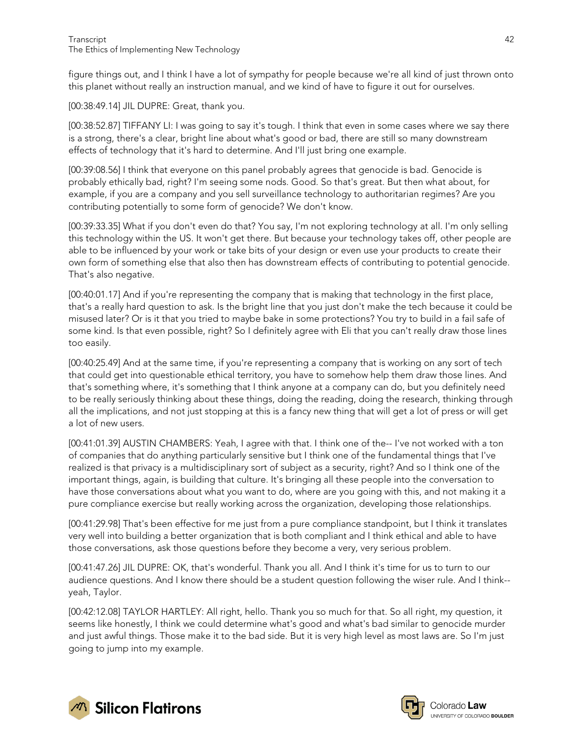figure things out, and I think I have a lot of sympathy for people because we're all kind of just thrown onto this planet without really an instruction manual, and we kind of have to figure it out for ourselves.

[00:38:49.14] JIL DUPRE: Great, thank you.

[00:38:52.87] TIFFANY LI: I was going to say it's tough. I think that even in some cases where we say there is a strong, there's a clear, bright line about what's good or bad, there are still so many downstream effects of technology that it's hard to determine. And I'll just bring one example.

[00:39:08.56] I think that everyone on this panel probably agrees that genocide is bad. Genocide is probably ethically bad, right? I'm seeing some nods. Good. So that's great. But then what about, for example, if you are a company and you sell surveillance technology to authoritarian regimes? Are you contributing potentially to some form of genocide? We don't know.

[00:39:33.35] What if you don't even do that? You say, I'm not exploring technology at all. I'm only selling this technology within the US. It won't get there. But because your technology takes off, other people are able to be influenced by your work or take bits of your design or even use your products to create their own form of something else that also then has downstream effects of contributing to potential genocide. That's also negative.

[00:40:01.17] And if you're representing the company that is making that technology in the first place, that's a really hard question to ask. Is the bright line that you just don't make the tech because it could be misused later? Or is it that you tried to maybe bake in some protections? You try to build in a fail safe of some kind. Is that even possible, right? So I definitely agree with Eli that you can't really draw those lines too easily.

[00:40:25.49] And at the same time, if you're representing a company that is working on any sort of tech that could get into questionable ethical territory, you have to somehow help them draw those lines. And that's something where, it's something that I think anyone at a company can do, but you definitely need to be really seriously thinking about these things, doing the reading, doing the research, thinking through all the implications, and not just stopping at this is a fancy new thing that will get a lot of press or will get a lot of new users.

[00:41:01.39] AUSTIN CHAMBERS: Yeah, I agree with that. I think one of the-- I've not worked with a ton of companies that do anything particularly sensitive but I think one of the fundamental things that I've realized is that privacy is a multidisciplinary sort of subject as a security, right? And so I think one of the important things, again, is building that culture. It's bringing all these people into the conversation to have those conversations about what you want to do, where are you going with this, and not making it a pure compliance exercise but really working across the organization, developing those relationships.

[00:41:29.98] That's been effective for me just from a pure compliance standpoint, but I think it translates very well into building a better organization that is both compliant and I think ethical and able to have those conversations, ask those questions before they become a very, very serious problem.

[00:41:47.26] JIL DUPRE: OK, that's wonderful. Thank you all. And I think it's time for us to turn to our audience questions. And I know there should be a student question following the wiser rule. And I think- yeah, Taylor.

[00:42:12.08] TAYLOR HARTLEY: All right, hello. Thank you so much for that. So all right, my question, it seems like honestly, I think we could determine what's good and what's bad similar to genocide murder and just awful things. Those make it to the bad side. But it is very high level as most laws are. So I'm just going to jump into my example.



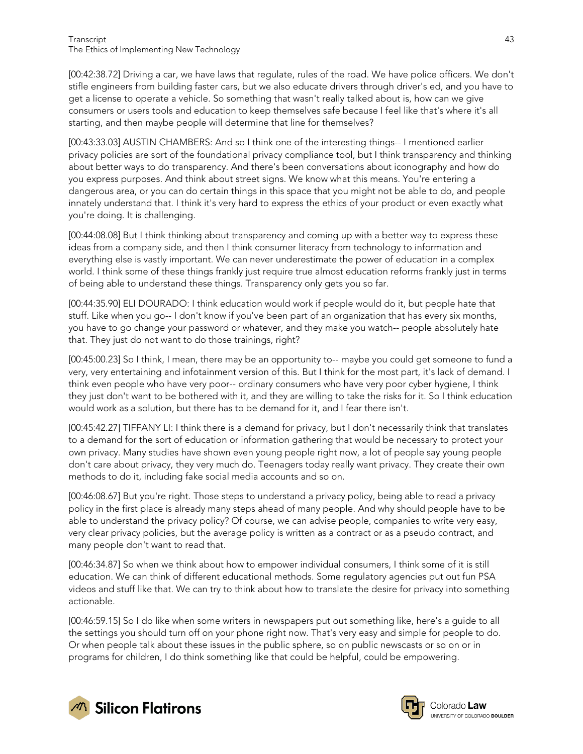[00:42:38.72] Driving a car, we have laws that regulate, rules of the road. We have police officers. We don't stifle engineers from building faster cars, but we also educate drivers through driver's ed, and you have to get a license to operate a vehicle. So something that wasn't really talked about is, how can we give consumers or users tools and education to keep themselves safe because I feel like that's where it's all starting, and then maybe people will determine that line for themselves?

[00:43:33.03] AUSTIN CHAMBERS: And so I think one of the interesting things-- I mentioned earlier privacy policies are sort of the foundational privacy compliance tool, but I think transparency and thinking about better ways to do transparency. And there's been conversations about iconography and how do you express purposes. And think about street signs. We know what this means. You're entering a dangerous area, or you can do certain things in this space that you might not be able to do, and people innately understand that. I think it's very hard to express the ethics of your product or even exactly what you're doing. It is challenging.

[00:44:08.08] But I think thinking about transparency and coming up with a better way to express these ideas from a company side, and then I think consumer literacy from technology to information and everything else is vastly important. We can never underestimate the power of education in a complex world. I think some of these things frankly just require true almost education reforms frankly just in terms of being able to understand these things. Transparency only gets you so far.

[00:44:35.90] ELI DOURADO: I think education would work if people would do it, but people hate that stuff. Like when you go-- I don't know if you've been part of an organization that has every six months, you have to go change your password or whatever, and they make you watch-- people absolutely hate that. They just do not want to do those trainings, right?

[00:45:00.23] So I think, I mean, there may be an opportunity to-- maybe you could get someone to fund a very, very entertaining and infotainment version of this. But I think for the most part, it's lack of demand. I think even people who have very poor-- ordinary consumers who have very poor cyber hygiene, I think they just don't want to be bothered with it, and they are willing to take the risks for it. So I think education would work as a solution, but there has to be demand for it, and I fear there isn't.

[00:45:42.27] TIFFANY LI: I think there is a demand for privacy, but I don't necessarily think that translates to a demand for the sort of education or information gathering that would be necessary to protect your own privacy. Many studies have shown even young people right now, a lot of people say young people don't care about privacy, they very much do. Teenagers today really want privacy. They create their own methods to do it, including fake social media accounts and so on.

[00:46:08.67] But you're right. Those steps to understand a privacy policy, being able to read a privacy policy in the first place is already many steps ahead of many people. And why should people have to be able to understand the privacy policy? Of course, we can advise people, companies to write very easy, very clear privacy policies, but the average policy is written as a contract or as a pseudo contract, and many people don't want to read that.

[00:46:34.87] So when we think about how to empower individual consumers, I think some of it is still education. We can think of different educational methods. Some regulatory agencies put out fun PSA videos and stuff like that. We can try to think about how to translate the desire for privacy into something actionable.

[00:46:59.15] So I do like when some writers in newspapers put out something like, here's a guide to all the settings you should turn off on your phone right now. That's very easy and simple for people to do. Or when people talk about these issues in the public sphere, so on public newscasts or so on or in programs for children, I do think something like that could be helpful, could be empowering.



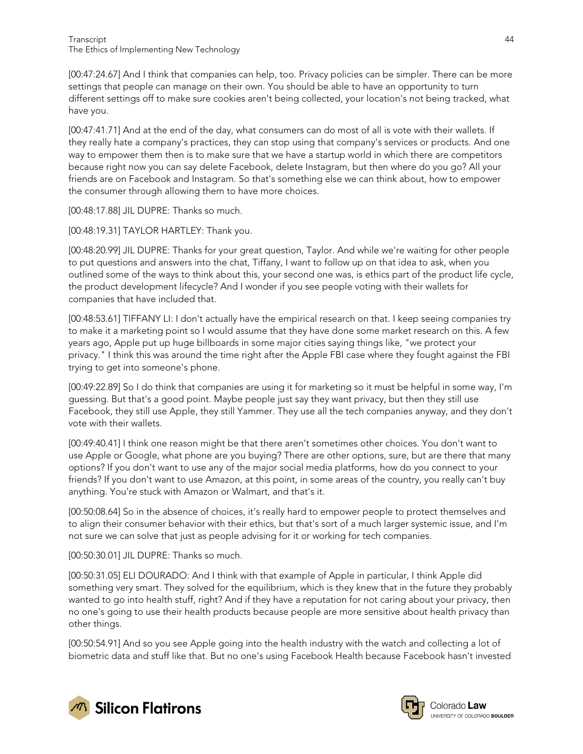Transcript 44 The Ethics of Implementing New Technology

[00:47:24.67] And I think that companies can help, too. Privacy policies can be simpler. There can be more settings that people can manage on their own. You should be able to have an opportunity to turn different settings off to make sure cookies aren't being collected, your location's not being tracked, what have you.

[00:47:41.71] And at the end of the day, what consumers can do most of all is vote with their wallets. If they really hate a company's practices, they can stop using that company's services or products. And one way to empower them then is to make sure that we have a startup world in which there are competitors because right now you can say delete Facebook, delete Instagram, but then where do you go? All your friends are on Facebook and Instagram. So that's something else we can think about, how to empower the consumer through allowing them to have more choices.

[00:48:17.88] JIL DUPRE: Thanks so much.

[00:48:19.31] TAYLOR HARTLEY: Thank you.

[00:48:20.99] JIL DUPRE: Thanks for your great question, Taylor. And while we're waiting for other people to put questions and answers into the chat, Tiffany, I want to follow up on that idea to ask, when you outlined some of the ways to think about this, your second one was, is ethics part of the product life cycle, the product development lifecycle? And I wonder if you see people voting with their wallets for companies that have included that.

[00:48:53.61] TIFFANY LI: I don't actually have the empirical research on that. I keep seeing companies try to make it a marketing point so I would assume that they have done some market research on this. A few years ago, Apple put up huge billboards in some major cities saying things like, "we protect your privacy." I think this was around the time right after the Apple FBI case where they fought against the FBI trying to get into someone's phone.

[00:49:22.89] So I do think that companies are using it for marketing so it must be helpful in some way, I'm guessing. But that's a good point. Maybe people just say they want privacy, but then they still use Facebook, they still use Apple, they still Yammer. They use all the tech companies anyway, and they don't vote with their wallets.

[00:49:40.41] I think one reason might be that there aren't sometimes other choices. You don't want to use Apple or Google, what phone are you buying? There are other options, sure, but are there that many options? If you don't want to use any of the major social media platforms, how do you connect to your friends? If you don't want to use Amazon, at this point, in some areas of the country, you really can't buy anything. You're stuck with Amazon or Walmart, and that's it.

[00:50:08.64] So in the absence of choices, it's really hard to empower people to protect themselves and to align their consumer behavior with their ethics, but that's sort of a much larger systemic issue, and I'm not sure we can solve that just as people advising for it or working for tech companies.

[00:50:30.01] JIL DUPRE: Thanks so much.

[00:50:31.05] ELI DOURADO: And I think with that example of Apple in particular, I think Apple did something very smart. They solved for the equilibrium, which is they knew that in the future they probably wanted to go into health stuff, right? And if they have a reputation for not caring about your privacy, then no one's going to use their health products because people are more sensitive about health privacy than other things.

[00:50:54.91] And so you see Apple going into the health industry with the watch and collecting a lot of biometric data and stuff like that. But no one's using Facebook Health because Facebook hasn't invested





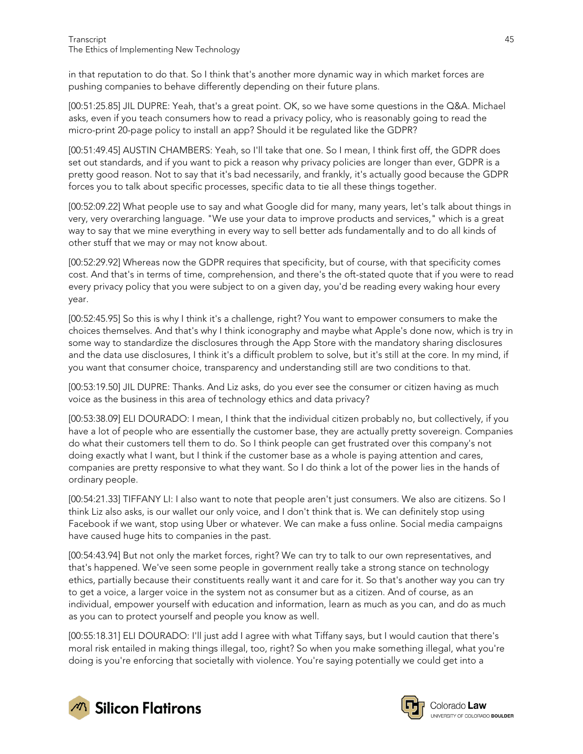in that reputation to do that. So I think that's another more dynamic way in which market forces are pushing companies to behave differently depending on their future plans.

[00:51:25.85] JIL DUPRE: Yeah, that's a great point. OK, so we have some questions in the Q&A. Michael asks, even if you teach consumers how to read a privacy policy, who is reasonably going to read the micro-print 20-page policy to install an app? Should it be regulated like the GDPR?

[00:51:49.45] AUSTIN CHAMBERS: Yeah, so I'll take that one. So I mean, I think first off, the GDPR does set out standards, and if you want to pick a reason why privacy policies are longer than ever, GDPR is a pretty good reason. Not to say that it's bad necessarily, and frankly, it's actually good because the GDPR forces you to talk about specific processes, specific data to tie all these things together.

[00:52:09.22] What people use to say and what Google did for many, many years, let's talk about things in very, very overarching language. "We use your data to improve products and services," which is a great way to say that we mine everything in every way to sell better ads fundamentally and to do all kinds of other stuff that we may or may not know about.

[00:52:29.92] Whereas now the GDPR requires that specificity, but of course, with that specificity comes cost. And that's in terms of time, comprehension, and there's the oft-stated quote that if you were to read every privacy policy that you were subject to on a given day, you'd be reading every waking hour every year.

[00:52:45.95] So this is why I think it's a challenge, right? You want to empower consumers to make the choices themselves. And that's why I think iconography and maybe what Apple's done now, which is try in some way to standardize the disclosures through the App Store with the mandatory sharing disclosures and the data use disclosures, I think it's a difficult problem to solve, but it's still at the core. In my mind, if you want that consumer choice, transparency and understanding still are two conditions to that.

[00:53:19.50] JIL DUPRE: Thanks. And Liz asks, do you ever see the consumer or citizen having as much voice as the business in this area of technology ethics and data privacy?

[00:53:38.09] ELI DOURADO: I mean, I think that the individual citizen probably no, but collectively, if you have a lot of people who are essentially the customer base, they are actually pretty sovereign. Companies do what their customers tell them to do. So I think people can get frustrated over this company's not doing exactly what I want, but I think if the customer base as a whole is paying attention and cares, companies are pretty responsive to what they want. So I do think a lot of the power lies in the hands of ordinary people.

[00:54:21.33] TIFFANY LI: I also want to note that people aren't just consumers. We also are citizens. So I think Liz also asks, is our wallet our only voice, and I don't think that is. We can definitely stop using Facebook if we want, stop using Uber or whatever. We can make a fuss online. Social media campaigns have caused huge hits to companies in the past.

[00:54:43.94] But not only the market forces, right? We can try to talk to our own representatives, and that's happened. We've seen some people in government really take a strong stance on technology ethics, partially because their constituents really want it and care for it. So that's another way you can try to get a voice, a larger voice in the system not as consumer but as a citizen. And of course, as an individual, empower yourself with education and information, learn as much as you can, and do as much as you can to protect yourself and people you know as well.

[00:55:18.31] ELI DOURADO: I'll just add I agree with what Tiffany says, but I would caution that there's moral risk entailed in making things illegal, too, right? So when you make something illegal, what you're doing is you're enforcing that societally with violence. You're saying potentially we could get into a